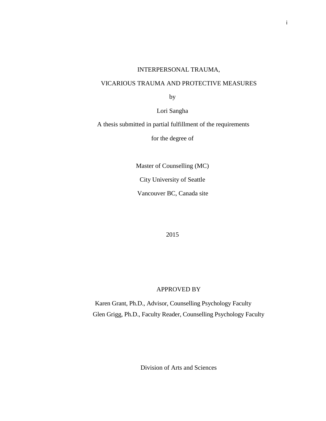# INTERPERSONAL TRAUMA,

## VICARIOUS TRAUMA AND PROTECTIVE MEASURES

by

Lori Sangha

A thesis submitted in partial fulfillment of the requirements

for the degree of

Master of Counselling (MC)

City University of Seattle

Vancouver BC, Canada site

2015

## APPROVED BY

Karen Grant, Ph.D., Advisor, Counselling Psychology Faculty Glen Grigg, Ph.D., Faculty Reader, Counselling Psychology Faculty

Division of Arts and Sciences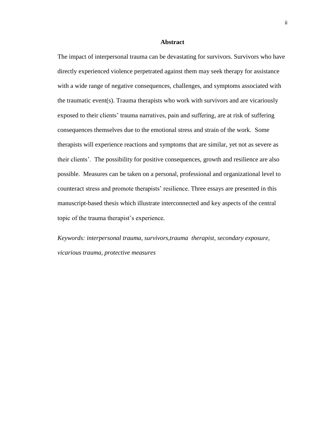#### **Abstract**

The impact of interpersonal trauma can be devastating for survivors. Survivors who have directly experienced violence perpetrated against them may seek therapy for assistance with a wide range of negative consequences, challenges, and symptoms associated with the traumatic event(s). Trauma therapists who work with survivors and are vicariously exposed to their clients' trauma narratives, pain and suffering, are at risk of suffering consequences themselves due to the emotional stress and strain of the work. Some therapists will experience reactions and symptoms that are similar, yet not as severe as their clients'. The possibility for positive consequences, growth and resilience are also possible. Measures can be taken on a personal, professional and organizational level to counteract stress and promote therapists' resilience. Three essays are presented in this manuscript-based thesis which illustrate interconnected and key aspects of the central topic of the trauma therapist's experience.

*Keywords: interpersonal trauma, survivors,trauma therapist, secondary exposure, vicarious trauma, protective measures*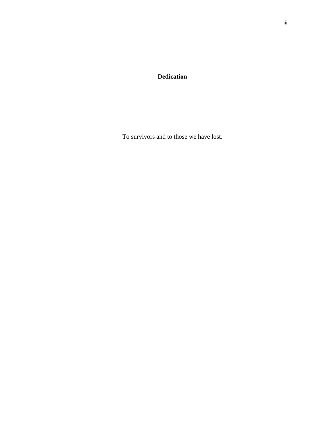**Dedication**

To survivors and to those we have lost.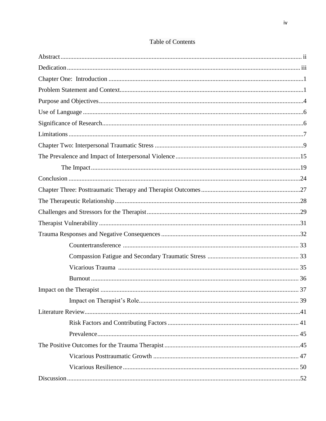# **Table of Contents**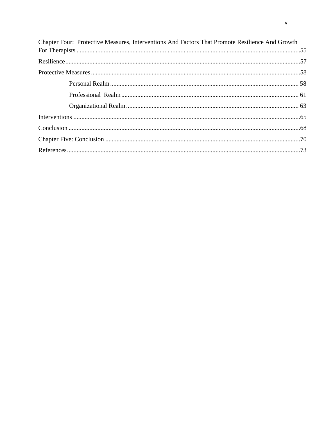| Chapter Four: Protective Measures, Interventions And Factors That Promote Resilience And Growth |  |
|-------------------------------------------------------------------------------------------------|--|
|                                                                                                 |  |
|                                                                                                 |  |
|                                                                                                 |  |
|                                                                                                 |  |
|                                                                                                 |  |
|                                                                                                 |  |
|                                                                                                 |  |
|                                                                                                 |  |
|                                                                                                 |  |
|                                                                                                 |  |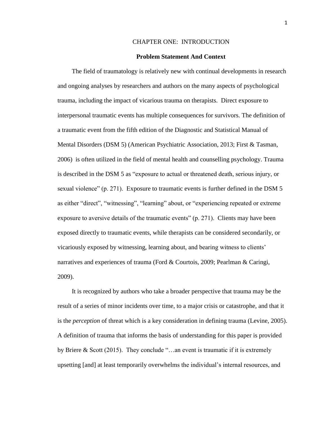## CHAPTER ONE: INTRODUCTION

#### **Problem Statement And Context**

The field of traumatology is relatively new with continual developments in research and ongoing analyses by researchers and authors on the many aspects of psychological trauma, including the impact of vicarious trauma on therapists. Direct exposure to interpersonal traumatic events has multiple consequences for survivors. The definition of a traumatic event from the fifth edition of the Diagnostic and Statistical Manual of Mental Disorders (DSM 5) (American Psychiatric Association, 2013; First & Tasman, 2006) is often utilized in the field of mental health and counselling psychology. Trauma is described in the DSM 5 as "exposure to actual or threatened death, serious injury, or sexual violence" (p. 271). Exposure to traumatic events is further defined in the DSM 5 as either "direct", "witnessing", "learning" about, or "experiencing repeated or extreme exposure to aversive details of the traumatic events" (p. 271). Clients may have been exposed directly to traumatic events, while therapists can be considered secondarily, or vicariously exposed by witnessing, learning about, and bearing witness to clients' narratives and experiences of trauma (Ford & Courtois, 2009; Pearlman & Caringi, 2009).

It is recognized by authors who take a broader perspective that trauma may be the result of a series of minor incidents over time, to a major crisis or catastrophe, and that it is the *perception* of threat which is a key consideration in defining trauma (Levine, 2005). A definition of trauma that informs the basis of understanding for this paper is provided by Briere & Scott (2015). They conclude "…an event is traumatic if it is extremely upsetting [and] at least temporarily overwhelms the individual's internal resources, and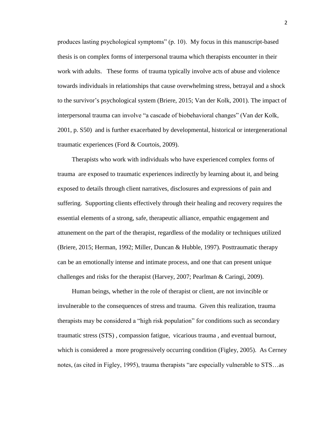produces lasting psychological symptoms" (p. 10). My focus in this manuscript-based thesis is on complex forms of interpersonal trauma which therapists encounter in their work with adults. These forms of trauma typically involve acts of abuse and violence towards individuals in relationships that cause overwhelming stress, betrayal and a shock to the survivor's psychological system (Briere, 2015; Van der Kolk, 2001). The impact of interpersonal trauma can involve "a cascade of biobehavioral changes" (Van der Kolk, 2001, p. S50) and is further exacerbated by developmental, historical or intergenerational traumatic experiences (Ford & Courtois, 2009).

Therapists who work with individuals who have experienced complex forms of trauma are exposed to traumatic experiences indirectly by learning about it, and being exposed to details through client narratives, disclosures and expressions of pain and suffering. Supporting clients effectively through their healing and recovery requires the essential elements of a strong, safe, therapeutic alliance, empathic engagement and attunement on the part of the therapist, regardless of the modality or techniques utilized (Briere, 2015; Herman, 1992; Miller, Duncan & Hubble, 1997). Posttraumatic therapy can be an emotionally intense and intimate process, and one that can present unique challenges and risks for the therapist (Harvey, 2007; Pearlman & Caringi, 2009).

Human beings, whether in the role of therapist or client, are not invincible or invulnerable to the consequences of stress and trauma. Given this realization, trauma therapists may be considered a "high risk population" for conditions such as secondary traumatic stress (STS) , compassion fatigue, vicarious trauma , and eventual burnout, which is considered a more progressively occurring condition (Figley, 2005). As Cerney notes, (as cited in Figley, 1995), trauma therapists "are especially vulnerable to STS…as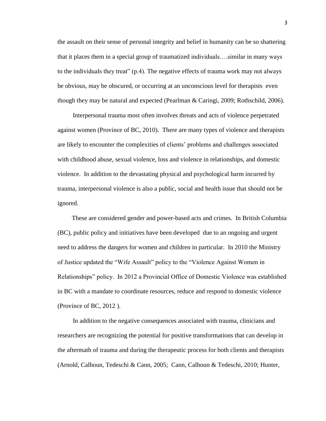the assault on their sense of personal integrity and belief in humanity can be so shattering that it places them in a special group of traumatized individuals….similar in many ways to the individuals they treat" (p.4). The negative effects of trauma work may not always be obvious, may be obscured, or occurring at an unconscious level for therapists even though they may be natural and expected (Pearlman & Caringi, 2009; Rothschild, 2006).

Interpersonal trauma most often involves threats and acts of violence perpetrated against women (Province of BC, 2010). There are many types of violence and therapists are likely to encounter the complexities of clients' problems and challenges associated with childhood abuse, sexual violence, loss and violence in relationships, and domestic violence. In addition to the devastating physical and psychological harm incurred by trauma, interpersonal violence is also a public, social and health issue that should not be ignored.

These are considered gender and power-based acts and crimes. In British Columbia (BC), public policy and initiatives have been developed due to an ongoing and urgent need to address the dangers for women and children in particular. In 2010 the Ministry of Justice updated the "Wife Assault" policy to the "Violence Against Women in Relationships" policy. In 2012 a Provincial Office of Domestic Violence was established in BC with a mandate to coordinate resources, reduce and respond to domestic violence (Province of BC, 2012 ).

In addition to the negative consequences associated with trauma, clinicians and researchers are recognizing the potential for positive transformations that can develop in the aftermath of trauma and during the therapeutic process for both clients and therapists (Arnold, Calhoun, Tedeschi & Cann, 2005; Cann, Calhoun & Tedeschi, 2010; Hunter,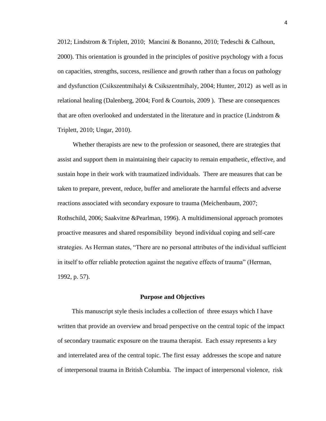2012; Lindstrom & Triplett, 2010; Mancini & Bonanno, 2010; Tedeschi & Calhoun, 2000). This orientation is grounded in the principles of positive psychology with a focus on capacities, strengths, success, resilience and growth rather than a focus on pathology and dysfunction (Csikszentmihalyi & Csikszentmihaly, 2004; Hunter, 2012) as well as in relational healing (Dalenberg, 2004; Ford & Courtois, 2009 ). These are consequences that are often overlooked and understated in the literature and in practice (Lindstrom  $\&$ Triplett, 2010; Ungar, 2010).

Whether therapists are new to the profession or seasoned, there are strategies that assist and support them in maintaining their capacity to remain empathetic, effective, and sustain hope in their work with traumatized individuals. There are measures that can be taken to prepare, prevent, reduce, buffer and ameliorate the harmful effects and adverse reactions associated with secondary exposure to trauma (Meichenbaum, 2007; Rothschild, 2006; Saakvitne &Pearlman, 1996). A multidimensional approach promotes proactive measures and shared responsibility beyond individual coping and self-care strategies. As Herman states, "There are no personal attributes of the individual sufficient in itself to offer reliable protection against the negative effects of trauma" (Herman, 1992, p. 57).

#### **Purpose and Objectives**

This manuscript style thesis includes a collection of three essays which I have written that provide an overview and broad perspective on the central topic of the impact of secondary traumatic exposure on the trauma therapist. Each essay represents a key and interrelated area of the central topic. The first essay addresses the scope and nature of interpersonal trauma in British Columbia. The impact of interpersonal violence, risk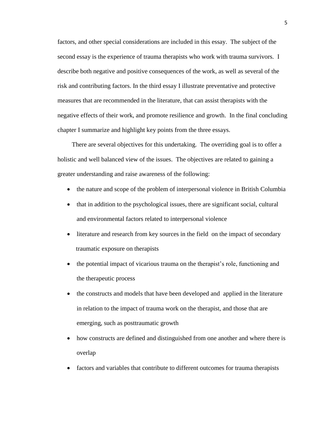factors, and other special considerations are included in this essay. The subject of the second essay is the experience of trauma therapists who work with trauma survivors. I describe both negative and positive consequences of the work, as well as several of the risk and contributing factors. In the third essay I illustrate preventative and protective measures that are recommended in the literature, that can assist therapists with the negative effects of their work, and promote resilience and growth. In the final concluding chapter I summarize and highlight key points from the three essays.

There are several objectives for this undertaking. The overriding goal is to offer a holistic and well balanced view of the issues. The objectives are related to gaining a greater understanding and raise awareness of the following:

- the nature and scope of the problem of interpersonal violence in British Columbia
- that in addition to the psychological issues, there are significant social, cultural and environmental factors related to interpersonal violence
- literature and research from key sources in the field on the impact of secondary traumatic exposure on therapists
- the potential impact of vicarious trauma on the therapist's role, functioning and the therapeutic process
- the constructs and models that have been developed and applied in the literature in relation to the impact of trauma work on the therapist, and those that are emerging, such as posttraumatic growth
- how constructs are defined and distinguished from one another and where there is overlap
- factors and variables that contribute to different outcomes for trauma therapists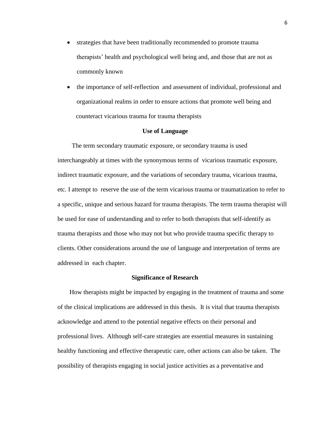- strategies that have been traditionally recommended to promote trauma therapists' health and psychological well being and, and those that are not as commonly known
- the importance of self-reflection and assessment of individual, professional and organizational realms in order to ensure actions that promote well being and counteract vicarious trauma for trauma therapists

## **Use of Language**

The term secondary traumatic exposure, or secondary trauma is used interchangeably at times with the synonymous terms of vicarious traumatic exposure, indirect traumatic exposure, and the variations of secondary trauma, vicarious trauma, etc. I attempt to reserve the use of the term vicarious trauma or traumatization to refer to a specific, unique and serious hazard for trauma therapists. The term trauma therapist will be used for ease of understanding and to refer to both therapists that self-identify as trauma therapists and those who may not but who provide trauma specific therapy to clients. Other considerations around the use of language and interpretation of terms are addressed in each chapter.

### **Significance of Research**

How therapists might be impacted by engaging in the treatment of trauma and some of the clinical implications are addressed in this thesis. It is vital that trauma therapists acknowledge and attend to the potential negative effects on their personal and professional lives. Although self-care strategies are essential measures in sustaining healthy functioning and effective therapeutic care, other actions can also be taken. The possibility of therapists engaging in social justice activities as a preventative and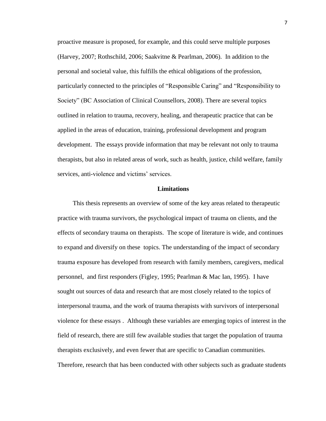proactive measure is proposed, for example, and this could serve multiple purposes (Harvey, 2007; Rothschild, 2006; Saakvitne & Pearlman, 2006). In addition to the personal and societal value, this fulfills the ethical obligations of the profession, particularly connected to the principles of "Responsible Caring" and "Responsibility to Society" (BC Association of Clinical Counsellors, 2008). There are several topics outlined in relation to trauma, recovery, healing, and therapeutic practice that can be applied in the areas of education, training, professional development and program development. The essays provide information that may be relevant not only to trauma therapists, but also in related areas of work, such as health, justice, child welfare, family services, anti-violence and victims' services.

#### **Limitations**

This thesis represents an overview of some of the key areas related to therapeutic practice with trauma survivors, the psychological impact of trauma on clients, and the effects of secondary trauma on therapists. The scope of literature is wide, and continues to expand and diversify on these topics. The understanding of the impact of secondary trauma exposure has developed from research with family members, caregivers, medical personnel, and first responders (Figley, 1995; Pearlman & Mac Ian, 1995). I have sought out sources of data and research that are most closely related to the topics of interpersonal trauma, and the work of trauma therapists with survivors of interpersonal violence for these essays . Although these variables are emerging topics of interest in the field of research, there are still few available studies that target the population of trauma therapists exclusively, and even fewer that are specific to Canadian communities. Therefore, research that has been conducted with other subjects such as graduate students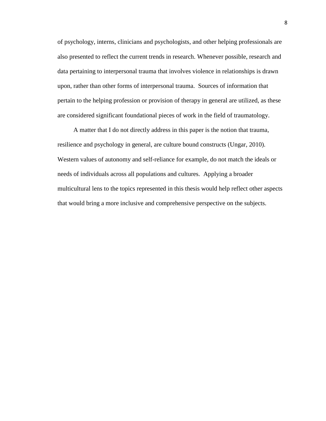of psychology, interns, clinicians and psychologists, and other helping professionals are also presented to reflect the current trends in research. Whenever possible, research and data pertaining to interpersonal trauma that involves violence in relationships is drawn upon, rather than other forms of interpersonal trauma. Sources of information that pertain to the helping profession or provision of therapy in general are utilized, as these are considered significant foundational pieces of work in the field of traumatology.

A matter that I do not directly address in this paper is the notion that trauma, resilience and psychology in general, are culture bound constructs (Ungar, 2010). Western values of autonomy and self-reliance for example, do not match the ideals or needs of individuals across all populations and cultures. Applying a broader multicultural lens to the topics represented in this thesis would help reflect other aspects that would bring a more inclusive and comprehensive perspective on the subjects.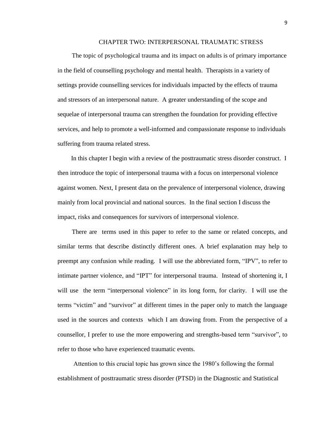## CHAPTER TWO: INTERPERSONAL TRAUMATIC STRESS

The topic of psychological trauma and its impact on adults is of primary importance in the field of counselling psychology and mental health. Therapists in a variety of settings provide counselling services for individuals impacted by the effects of trauma and stressors of an interpersonal nature. A greater understanding of the scope and sequelae of interpersonal trauma can strengthen the foundation for providing effective services, and help to promote a well-informed and compassionate response to individuals suffering from trauma related stress.

In this chapter I begin with a review of the posttraumatic stress disorder construct. I then introduce the topic of interpersonal trauma with a focus on interpersonal violence against women. Next, I present data on the prevalence of interpersonal violence, drawing mainly from local provincial and national sources. In the final section I discuss the impact, risks and consequences for survivors of interpersonal violence.

There are terms used in this paper to refer to the same or related concepts, and similar terms that describe distinctly different ones. A brief explanation may help to preempt any confusion while reading. I will use the abbreviated form, "IPV", to refer to intimate partner violence, and "IPT" for interpersonal trauma. Instead of shortening it, I will use the term "interpersonal violence" in its long form, for clarity. I will use the terms "victim" and "survivor" at different times in the paper only to match the language used in the sources and contexts which I am drawing from. From the perspective of a counsellor, I prefer to use the more empowering and strengths-based term "survivor", to refer to those who have experienced traumatic events.

Attention to this crucial topic has grown since the 1980's following the formal establishment of posttraumatic stress disorder (PTSD) in the Diagnostic and Statistical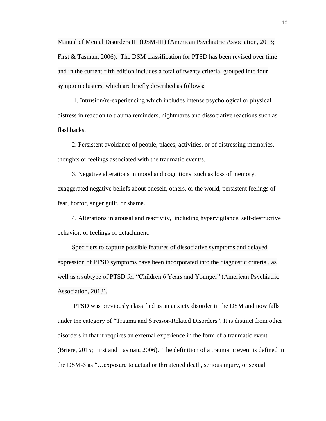Manual of Mental Disorders III (DSM-III) (American Psychiatric Association, 2013; First & Tasman, 2006). The DSM classification for PTSD has been revised over time and in the current fifth edition includes a total of twenty criteria, grouped into four symptom clusters, which are briefly described as follows:

1. Intrusion/re-experiencing which includes intense psychological or physical distress in reaction to trauma reminders, nightmares and dissociative reactions such as flashbacks.

2. Persistent avoidance of people, places, activities, or of distressing memories, thoughts or feelings associated with the traumatic event/s.

3. Negative alterations in mood and cognitions such as loss of memory, exaggerated negative beliefs about oneself, others, or the world, persistent feelings of fear, horror, anger guilt, or shame.

4. Alterations in arousal and reactivity, including hypervigilance, self-destructive behavior, or feelings of detachment.

Specifiers to capture possible features of dissociative symptoms and delayed expression of PTSD symptoms have been incorporated into the diagnostic criteria , as well as a subtype of PTSD for "Children 6 Years and Younger" (American Psychiatric Association, 2013).

PTSD was previously classified as an anxiety disorder in the DSM and now falls under the category of "Trauma and Stressor-Related Disorders". It is distinct from other disorders in that it requires an external experience in the form of a traumatic event (Briere, 2015; First and Tasman, 2006). The definition of a traumatic event is defined in the DSM-5 as "…exposure to actual or threatened death, serious injury, or sexual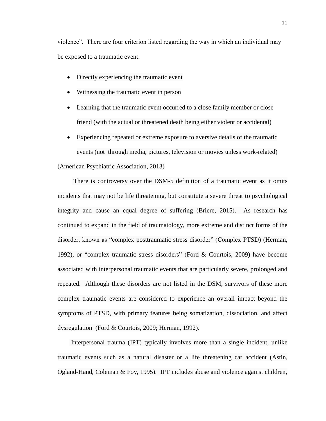violence". There are four criterion listed regarding the way in which an individual may be exposed to a traumatic event:

- Directly experiencing the traumatic event
- Witnessing the traumatic event in person
- Learning that the traumatic event occurred to a close family member or close friend (with the actual or threatened death being either violent or accidental)
- Experiencing repeated or extreme exposure to aversive details of the traumatic events (not through media, pictures, television or movies unless work-related) (American Psychiatric Association, 2013)

There is controversy over the DSM-5 definition of a traumatic event as it omits incidents that may not be life threatening, but constitute a severe threat to psychological integrity and cause an equal degree of suffering (Briere, 2015). As research has continued to expand in the field of traumatology, more extreme and distinct forms of the disorder, known as "complex posttraumatic stress disorder" (Complex PTSD) (Herman, 1992), or "complex traumatic stress disorders" (Ford & Courtois, 2009) have become associated with interpersonal traumatic events that are particularly severe, prolonged and repeated. Although these disorders are not listed in the DSM, survivors of these more complex traumatic events are considered to experience an overall impact beyond the symptoms of PTSD, with primary features being somatization, dissociation, and affect dysregulation (Ford & Courtois, 2009; Herman, 1992).

Interpersonal trauma (IPT) typically involves more than a single incident, unlike traumatic events such as a natural disaster or a life threatening car accident (Astin, Ogland-Hand, Coleman & Foy, 1995). IPT includes abuse and violence against children,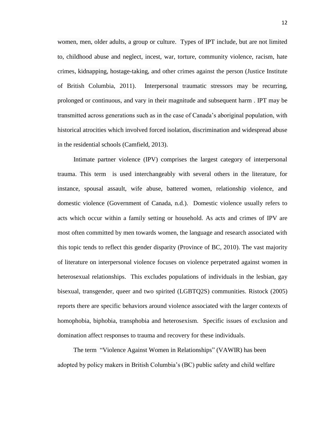women, men, older adults, a group or culture. Types of IPT include, but are not limited to, childhood abuse and neglect, incest, war, torture, community violence, racism, hate crimes, kidnapping, hostage-taking, and other crimes against the person (Justice Institute of British Columbia, 2011). Interpersonal traumatic stressors may be recurring, prolonged or continuous, and vary in their magnitude and subsequent harm . IPT may be transmitted across generations such as in the case of Canada's aboriginal population, with historical atrocities which involved forced isolation, discrimination and widespread abuse in the residential schools (Camfield, 2013).

Intimate partner violence (IPV) comprises the largest category of interpersonal trauma. This term is used interchangeably with several others in the literature, for instance, spousal assault, wife abuse, battered women, relationship violence, and domestic violence (Government of Canada, n.d.). Domestic violence usually refers to acts which occur within a family setting or household. As acts and crimes of IPV are most often committed by men towards women, the language and research associated with this topic tends to reflect this gender disparity (Province of BC, 2010). The vast majority of literature on interpersonal violence focuses on violence perpetrated against women in heterosexual relationships. This excludes populations of individuals in the lesbian, gay bisexual, transgender, queer and two spirited (LGBTQ2S) communities. Ristock (2005) reports there are specific behaviors around violence associated with the larger contexts of homophobia, biphobia, transphobia and heterosexism. Specific issues of exclusion and domination affect responses to trauma and recovery for these individuals.

The term "Violence Against Women in Relationships" (VAWIR) has been adopted by policy makers in British Columbia's (BC) public safety and child welfare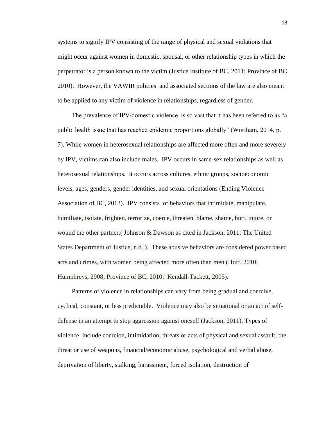systems to signify IPV consisting of the range of physical and sexual violations that might occur against women in domestic, spousal, or other relationship types in which the perpetrator is a person known to the victim (Justice Institute of BC, 2011; Province of BC 2010). However, the VAWIR policies and associated sections of the law are also meant to be applied to any victim of violence in relationships, regardless of gender.

The prevalence of IPV/domestic violence is so vast that it has been referred to as "a public health issue that has reached epidemic proportions globally" (Wortham, 2014, p. 7). While women in heterosexual relationships are affected more often and more severely by IPV, victims can also include males. IPV occurs in same-sex relationships as well as heterosexual relationships. It occurs across cultures, ethnic groups, socioeconomic levels, ages, genders, gender identities, and sexual orientations (Ending Violence Association of BC, 2013). IPV consists of behaviors that intimidate, manipulate, humiliate, isolate, frighten, terrorize, coerce, threaten, blame, shame, hurt, injure, or wound the other partner.( Johnson & Dawson as cited in Jackson, 2011; The United States Department of Justice, n.d.,). These abusive behaviors are considered power based acts and crimes, with women being affected more often than men (Hoff, 2010; Humphreys, 2008; Province of BC, 2010; Kendall-Tackett, 2005).

Patterns of violence in relationships can vary from being gradual and coercive, cyclical, constant, or less predictable. Violence may also be situational or an act of selfdefense in an attempt to stop aggression against oneself (Jackson, 2011). Types of violence include coercion, intimidation, threats or acts of physical and sexual assault, the threat or use of weapons, financial/economic abuse, psychological and verbal abuse, deprivation of liberty, stalking, harassment, forced isolation, destruction of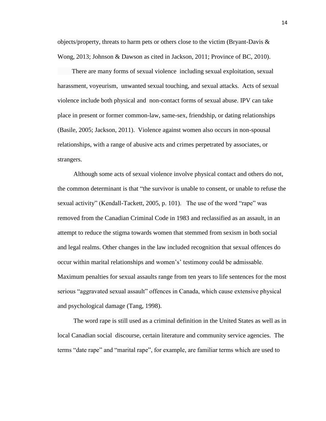objects/property, threats to harm pets or others close to the victim (Bryant-Davis  $\&$ Wong, 2013; Johnson & Dawson as cited in Jackson, 2011; Province of BC, 2010).

 There are many forms of sexual violence including sexual exploitation, sexual harassment, voyeurism, unwanted sexual touching, and sexual attacks. Acts of sexual violence include both physical and non-contact forms of sexual abuse. IPV can take place in present or former common-law, same-sex, friendship, or dating relationships (Basile, 2005; Jackson, 2011). Violence against women also occurs in non-spousal relationships, with a range of abusive acts and crimes perpetrated by associates, or strangers.

Although some acts of sexual violence involve physical contact and others do not, the common determinant is that "the survivor is unable to consent, or unable to refuse the sexual activity" (Kendall-Tackett, 2005, p. 101). The use of the word "rape" was removed from the Canadian Criminal Code in 1983 and reclassified as an assault, in an attempt to reduce the stigma towards women that stemmed from sexism in both social and legal realms. Other changes in the law included recognition that sexual offences do occur within marital relationships and women's' testimony could be admissable. Maximum penalties for sexual assaults range from ten years to life sentences for the most serious "aggravated sexual assault" offences in Canada, which cause extensive physical and psychological damage (Tang, 1998).

The word rape is still used as a criminal definition in the United States as well as in local Canadian social discourse, certain literature and community service agencies. The terms "date rape" and "marital rape", for example, are familiar terms which are used to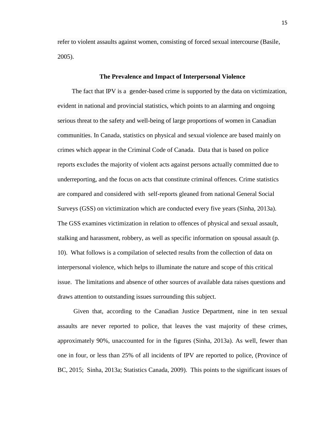refer to violent assaults against women, consisting of forced sexual intercourse (Basile, 2005).

#### **The Prevalence and Impact of Interpersonal Violence**

The fact that IPV is a gender-based crime is supported by the data on victimization, evident in national and provincial statistics, which points to an alarming and ongoing serious threat to the safety and well-being of large proportions of women in Canadian communities. In Canada, statistics on physical and sexual violence are based mainly on crimes which appear in the Criminal Code of Canada. Data that is based on police reports excludes the majority of violent acts against persons actually committed due to underreporting, and the focus on acts that constitute criminal offences. Crime statistics are compared and considered with self-reports gleaned from national General Social Surveys (GSS) on victimization which are conducted every five years (Sinha, 2013a). The GSS examines victimization in relation to offences of physical and sexual assault, stalking and harassment, robbery, as well as specific information on spousal assault (p. 10). What follows is a compilation of selected results from the collection of data on interpersonal violence, which helps to illuminate the nature and scope of this critical issue. The limitations and absence of other sources of available data raises questions and draws attention to outstanding issues surrounding this subject.

Given that, according to the Canadian Justice Department, nine in ten sexual assaults are never reported to police, that leaves the vast majority of these crimes, approximately 90%, unaccounted for in the figures (Sinha, 2013a). As well, fewer than one in four, or less than 25% of all incidents of IPV are reported to police, (Province of BC, 2015; Sinha, 2013a; Statistics Canada, 2009). This points to the significant issues of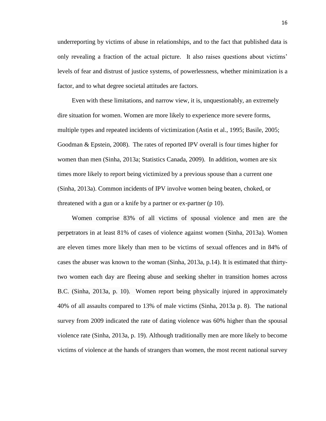underreporting by victims of abuse in relationships, and to the fact that published data is only revealing a fraction of the actual picture. It also raises questions about victims' levels of fear and distrust of justice systems, of powerlessness, whether minimization is a factor, and to what degree societal attitudes are factors.

Even with these limitations, and narrow view, it is, unquestionably, an extremely dire situation for women. Women are more likely to experience more severe forms, multiple types and repeated incidents of victimization (Astin et al., 1995; Basile, 2005; Goodman & Epstein, 2008). The rates of reported IPV overall is four times higher for women than men (Sinha, 2013a; Statistics Canada, 2009). In addition, women are six times more likely to report being victimized by a previous spouse than a current one (Sinha, 2013a). Common incidents of IPV involve women being beaten, choked, or threatened with a gun or a knife by a partner or ex-partner (p 10).

Women comprise 83% of all victims of spousal violence and men are the perpetrators in at least 81% of cases of violence against women (Sinha, 2013a). Women are eleven times more likely than men to be victims of sexual offences and in 84% of cases the abuser was known to the woman (Sinha, 2013a, p.14). It is estimated that thirtytwo women each day are fleeing abuse and seeking shelter in transition homes across B.C. (Sinha, 2013a, p. 10). Women report being physically injured in approximately 40% of all assaults compared to 13% of male victims (Sinha, 2013a p. 8). The national survey from 2009 indicated the rate of dating violence was 60% higher than the spousal violence rate (Sinha, 2013a, p. 19). Although traditionally men are more likely to become victims of violence at the hands of strangers than women, the most recent national survey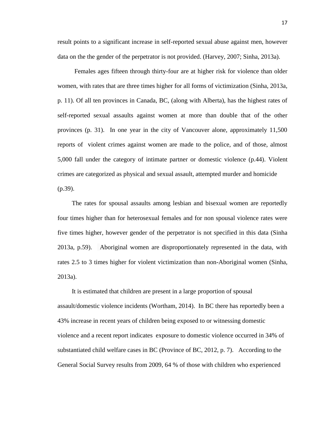result points to a significant increase in self-reported sexual abuse against men, however data on the the gender of the perpetrator is not provided. (Harvey, 2007; Sinha, 2013a).

Females ages fifteen through thirty-four are at higher risk for violence than older women, with rates that are three times higher for all forms of victimization (Sinha, 2013a, p. 11). Of all ten provinces in Canada, BC, (along with Alberta), has the highest rates of self-reported sexual assaults against women at more than double that of the other provinces (p. 31). In one year in the city of Vancouver alone, approximately 11,500 reports of violent crimes against women are made to the police, and of those, almost 5,000 fall under the category of intimate partner or domestic violence (p.44). Violent crimes are categorized as physical and sexual assault, attempted murder and homicide (p.39).

The rates for spousal assaults among lesbian and bisexual women are reportedly four times higher than for heterosexual females and for non spousal violence rates were five times higher, however gender of the perpetrator is not specified in this data (Sinha 2013a, p.59). Aboriginal women are disproportionately represented in the data, with rates 2.5 to 3 times higher for violent victimization than non-Aboriginal women (Sinha, 2013a).

It is estimated that children are present in a large proportion of spousal assault/domestic violence incidents (Wortham, 2014). In BC there has reportedly been a 43% increase in recent years of children being exposed to or witnessing domestic violence and a recent report indicates exposure to domestic violence occurred in 34% of substantiated child welfare cases in BC (Province of BC, 2012, p. 7). According to the General Social Survey results from 2009, 64 % of those with children who experienced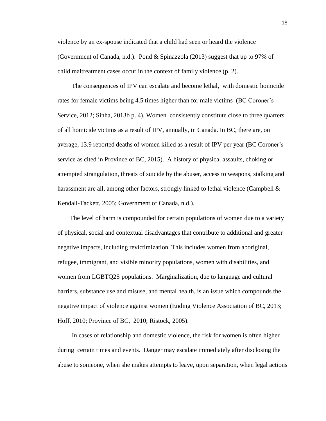violence by an ex-spouse indicated that a child had seen or heard the violence (Government of Canada, n.d.). Pond & Spinazzola (2013) suggest that up to 97% of child maltreatment cases occur in the context of family violence (p. 2).

The consequences of IPV can escalate and become lethal, with domestic homicide rates for female victims being 4.5 times higher than for male victims (BC Coroner's Service, 2012; Sinha, 2013b p. 4). Women consistently constitute close to three quarters of all homicide victims as a result of IPV, annually, in Canada. In BC, there are, on average, 13.9 reported deaths of women killed as a result of IPV per year (BC Coroner's service as cited in Province of BC, 2015). A history of physical assaults, choking or attempted strangulation, threats of suicide by the abuser, access to weapons, stalking and harassment are all, among other factors, strongly linked to lethal violence (Campbell  $\&$ Kendall-Tackett, 2005; Government of Canada, n.d.).

 The level of harm is compounded for certain populations of women due to a variety of physical, social and contextual disadvantages that contribute to additional and greater negative impacts, including revictimization. This includes women from aboriginal, refugee, immigrant, and visible minority populations, women with disabilities, and women from LGBTQ2S populations. Marginalization, due to language and cultural barriers, substance use and misuse, and mental health, is an issue which compounds the negative impact of violence against women (Ending Violence Association of BC, 2013; Hoff, 2010; Province of BC, 2010; Ristock, 2005).

In cases of relationship and domestic violence, the risk for women is often higher during certain times and events. Danger may escalate immediately after disclosing the abuse to someone, when she makes attempts to leave, upon separation, when legal actions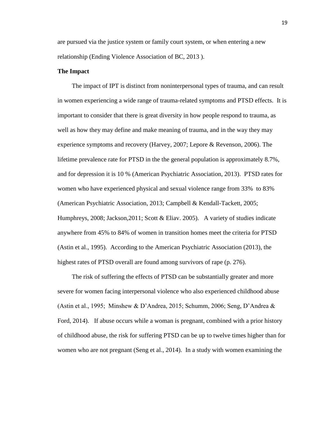are pursued via the justice system or family court system, or when entering a new relationship (Ending Violence Association of BC, 2013 ).

#### **The Impact**

The impact of IPT is distinct from noninterpersonal types of trauma, and can result in women experiencing a wide range of trauma-related symptoms and PTSD effects. It is important to consider that there is great diversity in how people respond to trauma, as well as how they may define and make meaning of trauma, and in the way they may experience symptoms and recovery (Harvey, 2007; Lepore & Revenson, 2006). The lifetime prevalence rate for PTSD in the the general population is approximately 8.7%, and for depression it is 10 % (American Psychiatric Association, 2013). PTSD rates for women who have experienced physical and sexual violence range from 33% to 83% (American Psychiatric Association, 2013; Campbell & Kendall-Tackett, 2005; Humphreys, 2008; Jackson,2011; Scott & Eliav. 2005). A variety of studies indicate anywhere from 45% to 84% of women in transition homes meet the criteria for PTSD (Astin et al., 1995). According to the American Psychiatric Association (2013), the highest rates of PTSD overall are found among survivors of rape (p. 276).

The risk of suffering the effects of PTSD can be substantially greater and more severe for women facing interpersonal violence who also experienced childhood abuse (Astin et al., 1995; Minshew & D'Andrea, 2015; Schumm, 2006; Seng, D'Andrea & Ford, 2014). If abuse occurs while a woman is pregnant, combined with a prior history of childhood abuse, the risk for suffering PTSD can be up to twelve times higher than for women who are not pregnant (Seng et al., 2014). In a study with women examining the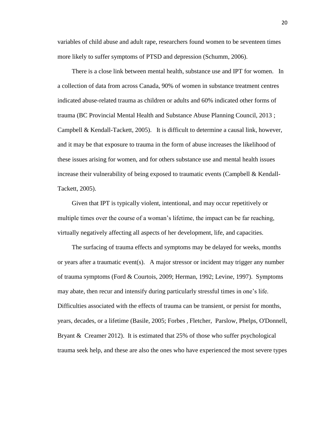variables of child abuse and adult rape, researchers found women to be seventeen times more likely to suffer symptoms of PTSD and depression (Schumm, 2006).

There is a close link between mental health, substance use and IPT for women. In a collection of data from across Canada, 90% of women in substance treatment centres indicated abuse-related trauma as children or adults and 60% indicated other forms of trauma (BC Provincial Mental Health and Substance Abuse Planning Council, 2013 ; Campbell & Kendall-Tackett, 2005). It is difficult to determine a causal link, however, and it may be that exposure to trauma in the form of abuse increases the likelihood of these issues arising for women, and for others substance use and mental health issues increase their vulnerability of being exposed to traumatic events (Campbell & Kendall-Tackett, 2005).

Given that IPT is typically violent, intentional, and may occur repetitively or multiple times over the course of a woman's lifetime, the impact can be far reaching, virtually negatively affecting all aspects of her development, life, and capacities.

The surfacing of trauma effects and symptoms may be delayed for weeks, months or years after a traumatic event(s). A major stressor or incident may trigger any number of trauma symptoms (Ford & Courtois, 2009; Herman, 1992; Levine, 1997). Symptoms may abate, then recur and intensify during particularly stressful times in one's life. Difficulties associated with the effects of trauma can be transient, or persist for months, years, decades, or a lifetime (Basile, 2005; Forbes , Fletcher, Parslow, Phelps, O'Donnell, Bryant & Creamer 2012). It is estimated that 25% of those who suffer psychological trauma seek help, and these are also the ones who have experienced the most severe types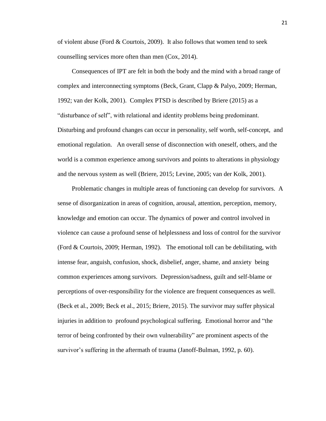of violent abuse (Ford & Courtois, 2009). It also follows that women tend to seek counselling services more often than men (Cox, 2014).

Consequences of IPT are felt in both the body and the mind with a broad range of complex and interconnecting symptoms (Beck, Grant, Clapp & Palyo, 2009; Herman, 1992; van der Kolk, 2001). Complex PTSD is described by Briere (2015) as a "disturbance of self", with relational and identity problems being predominant. Disturbing and profound changes can occur in personality, self worth, self-concept, and emotional regulation. An overall sense of disconnection with oneself, others, and the world is a common experience among survivors and points to alterations in physiology and the nervous system as well (Briere, 2015; Levine, 2005; van der Kolk, 2001).

Problematic changes in multiple areas of functioning can develop for survivors. A sense of disorganization in areas of cognition, arousal, attention, perception, memory, knowledge and emotion can occur. The dynamics of power and control involved in violence can cause a profound sense of helplessness and loss of control for the survivor (Ford & Courtois, 2009; Herman, 1992). The emotional toll can be debilitating, with intense fear, anguish, confusion, shock, disbelief, anger, shame, and anxiety being common experiences among survivors. Depression/sadness, guilt and self-blame or perceptions of over-responsibility for the violence are frequent consequences as well. (Beck et al., 2009; Beck et al., 2015; Briere, 2015). The survivor may suffer physical injuries in addition to profound psychological suffering. Emotional horror and "the terror of being confronted by their own vulnerability" are prominent aspects of the survivor's suffering in the aftermath of trauma (Janoff-Bulman, 1992, p. 60).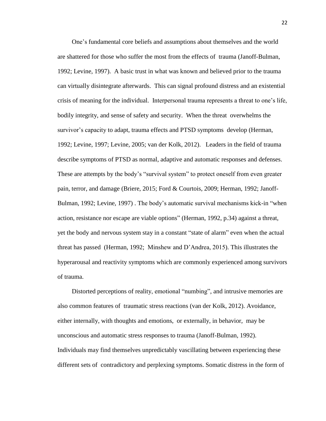One's fundamental core beliefs and assumptions about themselves and the world are shattered for those who suffer the most from the effects of trauma (Janoff-Bulman, 1992; Levine, 1997). A basic trust in what was known and believed prior to the trauma can virtually disintegrate afterwards. This can signal profound distress and an existential crisis of meaning for the individual. Interpersonal trauma represents a threat to one's life, bodily integrity, and sense of safety and security. When the threat overwhelms the survivor's capacity to adapt, trauma effects and PTSD symptoms develop (Herman, 1992; Levine, 1997; Levine, 2005; van der Kolk, 2012). Leaders in the field of trauma describe symptoms of PTSD as normal, adaptive and automatic responses and defenses. These are attempts by the body's "survival system" to protect oneself from even greater pain, terror, and damage (Briere, 2015; Ford & Courtois, 2009; Herman, 1992; Janoff-Bulman, 1992; Levine, 1997) . The body's automatic survival mechanisms kick-in "when action, resistance nor escape are viable options" (Herman, 1992, p.34) against a threat, yet the body and nervous system stay in a constant "state of alarm" even when the actual threat has passed (Herman, 1992; Minshew and D'Andrea, 2015). This illustrates the hyperarousal and reactivity symptoms which are commonly experienced among survivors of trauma.

Distorted perceptions of reality, emotional "numbing", and intrusive memories are also common features of traumatic stress reactions (van der Kolk, 2012). Avoidance, either internally, with thoughts and emotions, or externally, in behavior, may be unconscious and automatic stress responses to trauma (Janoff-Bulman, 1992). Individuals may find themselves unpredictably vascillating between experiencing these different sets of contradictory and perplexing symptoms. Somatic distress in the form of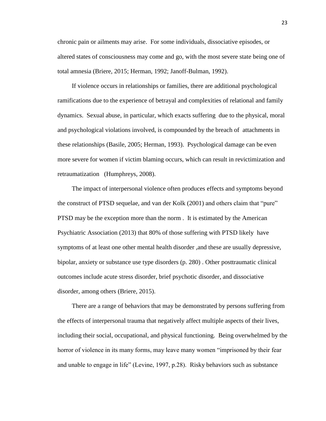chronic pain or ailments may arise. For some individuals, dissociative episodes, or altered states of consciousness may come and go, with the most severe state being one of total amnesia (Briere, 2015; Herman, 1992; Janoff-Bulman, 1992).

If violence occurs in relationships or families, there are additional psychological ramifications due to the experience of betrayal and complexities of relational and family dynamics. Sexual abuse, in particular, which exacts suffering due to the physical, moral and psychological violations involved, is compounded by the breach of attachments in these relationships (Basile, 2005; Herman, 1993). Psychological damage can be even more severe for women if victim blaming occurs, which can result in revictimization and retraumatization (Humphreys, 2008).

The impact of interpersonal violence often produces effects and symptoms beyond the construct of PTSD sequelae, and van der Kolk (2001) and others claim that "pure" PTSD may be the exception more than the norm . It is estimated by the American Psychiatric Association (2013) that 80% of those suffering with PTSD likely have symptoms of at least one other mental health disorder ,and these are usually depressive, bipolar, anxiety or substance use type disorders (p. 280) . Other posttraumatic clinical outcomes include acute stress disorder, brief psychotic disorder, and dissociative disorder, among others (Briere, 2015).

There are a range of behaviors that may be demonstrated by persons suffering from the effects of interpersonal trauma that negatively affect multiple aspects of their lives, including their social, occupational, and physical functioning. Being overwhelmed by the horror of violence in its many forms, may leave many women "imprisoned by their fear and unable to engage in life" (Levine, 1997, p.28). Risky behaviors such as substance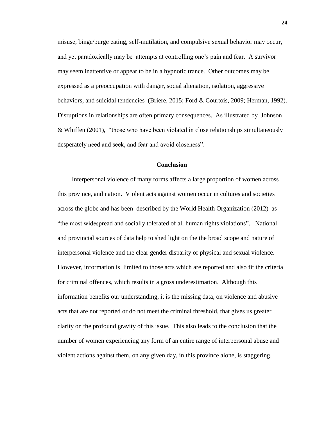misuse, binge/purge eating, self-mutilation, and compulsive sexual behavior may occur, and yet paradoxically may be attempts at controlling one's pain and fear. A survivor may seem inattentive or appear to be in a hypnotic trance. Other outcomes may be expressed as a preoccupation with danger, social alienation, isolation, aggressive behaviors, and suicidal tendencies (Briere, 2015; Ford & Courtois, 2009; Herman, 1992). Disruptions in relationships are often primary consequences. As illustrated by Johnson & Whiffen (2001), "those who have been violated in close relationships simultaneously desperately need and seek, and fear and avoid closeness".

## **Conclusion**

Interpersonal violence of many forms affects a large proportion of women across this province, and nation. Violent acts against women occur in cultures and societies across the globe and has been described by the World Health Organization (2012) as "the most widespread and socially tolerated of all human rights violations". National and provincial sources of data help to shed light on the the broad scope and nature of interpersonal violence and the clear gender disparity of physical and sexual violence. However, information is limited to those acts which are reported and also fit the criteria for criminal offences, which results in a gross underestimation. Although this information benefits our understanding, it is the missing data, on violence and abusive acts that are not reported or do not meet the criminal threshold, that gives us greater clarity on the profound gravity of this issue. This also leads to the conclusion that the number of women experiencing any form of an entire range of interpersonal abuse and violent actions against them, on any given day, in this province alone, is staggering.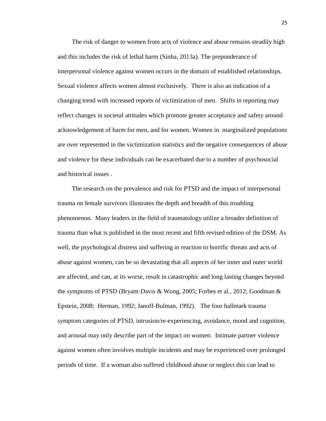The risk of danger to women from acts of violence and abuse remains steadily high and this includes the risk of lethal harm (Sinha, 2013a). The preponderance of interpersonal violence against women occurs in the domain of established relationships. Sexual violence affects women almost exclusively. There is also an indication of a changing trend with increased reports of victimization of men. Shifts in reporting may reflect changes in societal attitudes which promote greater acceptance and safety around acknowledgement of harm for men, and for women. Women in marginalized populations are over represented in the victimization statistics and the negative consequences of abuse and violence for these individuals can be exacerbated due to a number of psychosocial and historical issues .

The research on the prevalence and risk for PTSD and the impact of interpersonal trauma on female survivors illustrates the depth and breadth of this troubling phenomenon. Many leaders in the field of traumatology utilize a broader definition of trauma than what is published in the most recent and fifth revised edition of the DSM. As well, the psychological distress and suffering in reaction to horrific threats and acts of abuse against women, can be so devastating that all aspects of her inner and outer world are affected, and can, at its worse, result in catastrophic and long lasting changes beyond the symptoms of PTSD (Bryant-Davis & Wong, 2005; Forbes et al., 2012; Goodman & Epstein, 2008; Herman, 1992; Janoff-Bulman, 1992). The four hallmark trauma symptom categories of PTSD, intrusion/re-experiencing, avoidance, mood and cognition, and arousal may only describe part of the impact on women. Intimate partner violence against women often involves multiple incidents and may be experienced over prolonged periods of time. If a woman also suffered childhood abuse or neglect this can lead to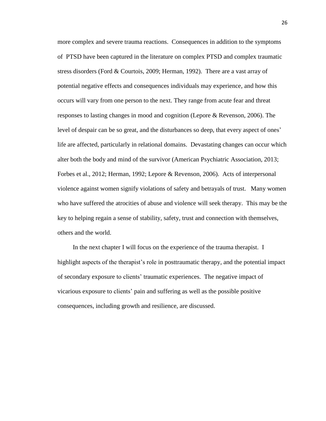more complex and severe trauma reactions. Consequences in addition to the symptoms of PTSD have been captured in the literature on complex PTSD and complex traumatic stress disorders (Ford & Courtois, 2009; Herman, 1992). There are a vast array of potential negative effects and consequences individuals may experience, and how this occurs will vary from one person to the next. They range from acute fear and threat responses to lasting changes in mood and cognition (Lepore & Revenson, 2006). The level of despair can be so great, and the disturbances so deep, that every aspect of ones' life are affected, particularly in relational domains. Devastating changes can occur which alter both the body and mind of the survivor (American Psychiatric Association, 2013; Forbes et al., 2012; Herman, 1992; Lepore & Revenson, 2006). Acts of interpersonal violence against women signify violations of safety and betrayals of trust. Many women who have suffered the atrocities of abuse and violence will seek therapy. This may be the key to helping regain a sense of stability, safety, trust and connection with themselves, others and the world.

In the next chapter I will focus on the experience of the trauma therapist. I highlight aspects of the therapist's role in posttraumatic therapy, and the potential impact of secondary exposure to clients' traumatic experiences. The negative impact of vicarious exposure to clients' pain and suffering as well as the possible positive consequences, including growth and resilience, are discussed.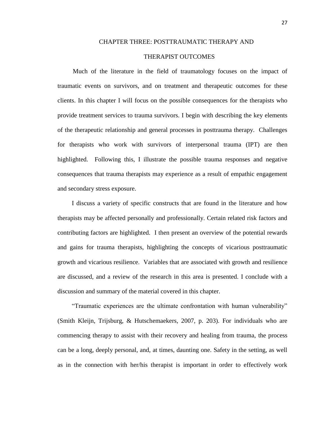## CHAPTER THREE: POSTTRAUMATIC THERAPY AND

### THERAPIST OUTCOMES

Much of the literature in the field of traumatology focuses on the impact of traumatic events on survivors, and on treatment and therapeutic outcomes for these clients. In this chapter I will focus on the possible consequences for the therapists who provide treatment services to trauma survivors. I begin with describing the key elements of the therapeutic relationship and general processes in posttrauma therapy. Challenges for therapists who work with survivors of interpersonal trauma (IPT) are then highlighted. Following this, I illustrate the possible trauma responses and negative consequences that trauma therapists may experience as a result of empathic engagement and secondary stress exposure.

I discuss a variety of specific constructs that are found in the literature and how therapists may be affected personally and professionally. Certain related risk factors and contributing factors are highlighted. I then present an overview of the potential rewards and gains for trauma therapists, highlighting the concepts of vicarious posttraumatic growth and vicarious resilience. Variables that are associated with growth and resilience are discussed, and a review of the research in this area is presented. I conclude with a discussion and summary of the material covered in this chapter.

"Traumatic experiences are the ultimate confrontation with human vulnerability" (Smith Kleijn, Trijsburg, & Hutschemaekers, 2007, p. 203). For individuals who are commencing therapy to assist with their recovery and healing from trauma, the process can be a long, deeply personal, and, at times, daunting one. Safety in the setting, as well as in the connection with her/his therapist is important in order to effectively work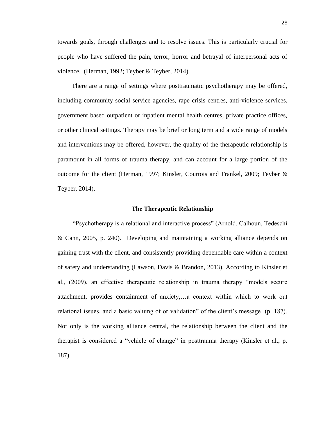towards goals, through challenges and to resolve issues. This is particularly crucial for people who have suffered the pain, terror, horror and betrayal of interpersonal acts of violence. (Herman, 1992; Teyber & Teyber, 2014).

There are a range of settings where posttraumatic psychotherapy may be offered, including community social service agencies, rape crisis centres, anti-violence services, government based outpatient or inpatient mental health centres, private practice offices, or other clinical settings. Therapy may be brief or long term and a wide range of models and interventions may be offered, however, the quality of the therapeutic relationship is paramount in all forms of trauma therapy, and can account for a large portion of the outcome for the client (Herman, 1997; Kinsler, Courtois and Frankel, 2009; Teyber & Teyber, 2014).

#### **The Therapeutic Relationship**

"Psychotherapy is a relational and interactive process" (Arnold, Calhoun, Tedeschi & Cann, 2005, p. 240). Developing and maintaining a working alliance depends on gaining trust with the client, and consistently providing dependable care within a context of safety and understanding (Lawson, Davis & Brandon, 2013). According to Kinsler et al., (2009), an effective therapeutic relationship in trauma therapy "models secure attachment, provides containment of anxiety,…a context within which to work out relational issues, and a basic valuing of or validation" of the client's message (p. 187). Not only is the working alliance central, the relationship between the client and the therapist is considered a "vehicle of change" in posttrauma therapy (Kinsler et al., p. 187).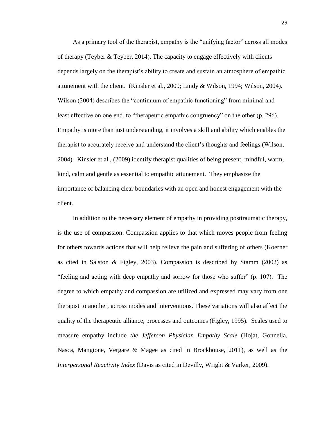As a primary tool of the therapist, empathy is the "unifying factor" across all modes of therapy (Teyber & Teyber, 2014). The capacity to engage effectively with clients depends largely on the therapist's ability to create and sustain an atmosphere of empathic attunement with the client. (Kinsler et al., 2009; Lindy & Wilson, 1994; Wilson, 2004). Wilson (2004) describes the "continuum of empathic functioning" from minimal and least effective on one end, to "therapeutic empathic congruency" on the other (p. 296). Empathy is more than just understanding, it involves a skill and ability which enables the therapist to accurately receive and understand the client's thoughts and feelings (Wilson, 2004). Kinsler et al., (2009) identify therapist qualities of being present, mindful, warm, kind, calm and gentle as essential to empathic attunement. They emphasize the importance of balancing clear boundaries with an open and honest engagement with the client.

In addition to the necessary element of empathy in providing posttraumatic therapy, is the use of compassion. Compassion applies to that which moves people from feeling for others towards actions that will help relieve the pain and suffering of others (Koerner as cited in Salston & Figley, 2003). Compassion is described by Stamm (2002) as "feeling and acting with deep empathy and sorrow for those who suffer" (p. 107). The degree to which empathy and compassion are utilized and expressed may vary from one therapist to another, across modes and interventions. These variations will also affect the quality of the therapeutic alliance, processes and outcomes (Figley, 1995). Scales used to measure empathy include *the Jefferson Physician Empathy Scale* (Hojat, Gonnella, Nasca, Mangione, Vergare & Magee as cited in Brockhouse, 2011), as well as the *Interpersonal Reactivity Index* (Davis as cited in Devilly, Wright & Varker, 2009).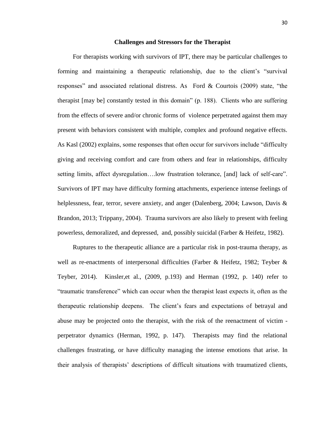#### **Challenges and Stressors for the Therapist**

For therapists working with survivors of IPT, there may be particular challenges to forming and maintaining a therapeutic relationship, due to the client's "survival responses" and associated relational distress. As Ford & Courtois (2009) state, "the therapist [may be] constantly tested in this domain" (p. 188). Clients who are suffering from the effects of severe and/or chronic forms of violence perpetrated against them may present with behaviors consistent with multiple, complex and profound negative effects. As Kasl (2002) explains, some responses that often occur for survivors include "difficulty giving and receiving comfort and care from others and fear in relationships, difficulty setting limits, affect dysregulation….low frustration tolerance, [and] lack of self-care". Survivors of IPT may have difficulty forming attachments, experience intense feelings of helplessness, fear, terror, severe anxiety, and anger (Dalenberg, 2004; Lawson, Davis & Brandon, 2013; Trippany, 2004). Trauma survivors are also likely to present with feeling powerless, demoralized, and depressed, and, possibly suicidal (Farber & Heifetz, 1982).

Ruptures to the therapeutic alliance are a particular risk in post-trauma therapy, as well as re-enactments of interpersonal difficulties (Farber & Heifetz, 1982; Teyber & Teyber, 2014). Kinsler, et al.,  $(2009, p.193)$  and Herman  $(1992, p. 140)$  refer to "traumatic transference" which can occur when the therapist least expects it, often as the therapeutic relationship deepens. The client's fears and expectations of betrayal and abuse may be projected onto the therapist, with the risk of the reenactment of victim perpetrator dynamics (Herman, 1992, p. 147). Therapists may find the relational challenges frustrating, or have difficulty managing the intense emotions that arise. In their analysis of therapists' descriptions of difficult situations with traumatized clients,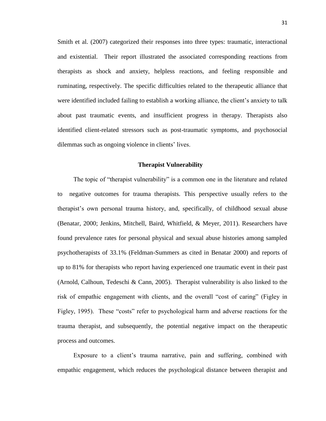Smith et al. (2007) categorized their responses into three types: traumatic, interactional and existential. Their report illustrated the associated corresponding reactions from therapists as shock and anxiety, helpless reactions, and feeling responsible and ruminating, respectively. The specific difficulties related to the therapeutic alliance that were identified included failing to establish a working alliance, the client's anxiety to talk about past traumatic events, and insufficient progress in therapy. Therapists also identified client-related stressors such as post-traumatic symptoms, and psychosocial dilemmas such as ongoing violence in clients' lives.

#### **Therapist Vulnerability**

The topic of "therapist vulnerability" is a common one in the literature and related to negative outcomes for trauma therapists. This perspective usually refers to the therapist's own personal trauma history, and, specifically, of childhood sexual abuse (Benatar, 2000; Jenkins, Mitchell, Baird, Whitfield, & Meyer, 2011). Researchers have found prevalence rates for personal physical and sexual abuse histories among sampled psychotherapists of 33.1% (Feldman-Summers as cited in Benatar 2000) and reports of up to 81% for therapists who report having experienced one traumatic event in their past (Arnold, Calhoun, Tedeschi & Cann, 2005). Therapist vulnerability is also linked to the risk of empathic engagement with clients, and the overall "cost of caring" (Figley in Figley, 1995). These "costs" refer to psychological harm and adverse reactions for the trauma therapist, and subsequently, the potential negative impact on the therapeutic process and outcomes.

Exposure to a client's trauma narrative, pain and suffering, combined with empathic engagement, which reduces the psychological distance between therapist and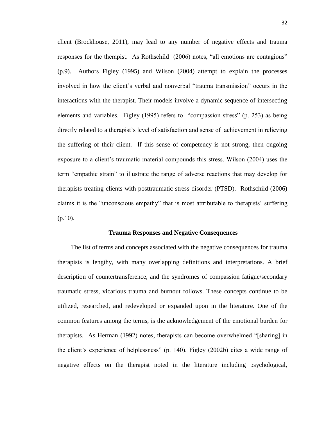client (Brockhouse, 2011), may lead to any number of negative effects and trauma responses for the therapist. As Rothschild (2006) notes, "all emotions are contagious" (p.9). Authors Figley (1995) and Wilson (2004) attempt to explain the processes involved in how the client's verbal and nonverbal "trauma transmission" occurs in the interactions with the therapist. Their models involve a dynamic sequence of intersecting elements and variables. Figley (1995) refers to "compassion stress" (p. 253) as being directly related to a therapist's level of satisfaction and sense of achievement in relieving the suffering of their client. If this sense of competency is not strong, then ongoing exposure to a client's traumatic material compounds this stress. Wilson (2004) uses the term "empathic strain" to illustrate the range of adverse reactions that may develop for therapists treating clients with posttraumatic stress disorder (PTSD). Rothschild (2006) claims it is the "unconscious empathy" that is most attributable to therapists' suffering (p.10).

#### **Trauma Responses and Negative Consequences**

The list of terms and concepts associated with the negative consequences for trauma therapists is lengthy, with many overlapping definitions and interpretations. A brief description of countertransference, and the syndromes of compassion fatigue/secondary traumatic stress, vicarious trauma and burnout follows. These concepts continue to be utilized, researched, and redeveloped or expanded upon in the literature. One of the common features among the terms, is the acknowledgement of the emotional burden for therapists. As Herman (1992) notes, therapists can become overwhelmed "[sharing] in the client's experience of helplessness" (p. 140). Figley (2002b) cites a wide range of negative effects on the therapist noted in the literature including psychological,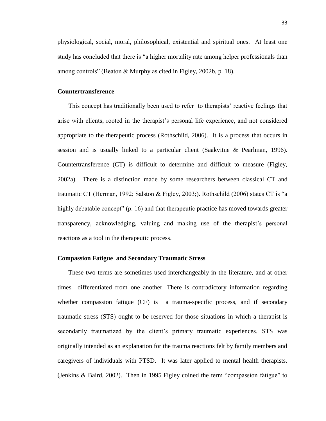physiological, social, moral, philosophical, existential and spiritual ones. At least one study has concluded that there is "a higher mortality rate among helper professionals than among controls" (Beaton & Murphy as cited in Figley, 2002b, p. 18).

## **Countertransference**

This concept has traditionally been used to refer to therapists' reactive feelings that arise with clients, rooted in the therapist's personal life experience, and not considered appropriate to the therapeutic process (Rothschild, 2006). It is a process that occurs in session and is usually linked to a particular client (Saakvitne & Pearlman, 1996). Countertransference (CT) is difficult to determine and difficult to measure (Figley, 2002a). There is a distinction made by some researchers between classical CT and traumatic CT (Herman, 1992; Salston & Figley, 2003;). Rothschild (2006) states CT is "a highly debatable concept" (p. 16) and that therapeutic practice has moved towards greater transparency, acknowledging, valuing and making use of the therapist's personal reactions as a tool in the therapeutic process.

# **Compassion Fatigue and Secondary Traumatic Stress**

 These two terms are sometimes used interchangeably in the literature, and at other times differentiated from one another. There is contradictory information regarding whether compassion fatigue (CF) is a trauma-specific process, and if secondary traumatic stress (STS) ought to be reserved for those situations in which a therapist is secondarily traumatized by the client's primary traumatic experiences. STS was originally intended as an explanation for the trauma reactions felt by family members and caregivers of individuals with PTSD. It was later applied to mental health therapists. (Jenkins & Baird, 2002). Then in 1995 Figley coined the term "compassion fatigue" to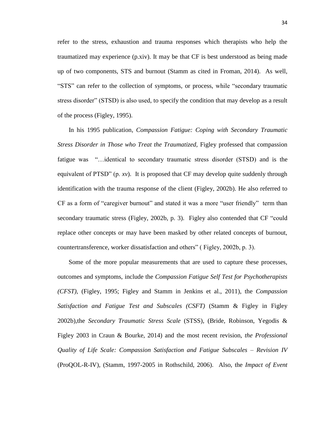refer to the stress, exhaustion and trauma responses which therapists who help the traumatized may experience (p.xiv). It may be that CF is best understood as being made up of two components, STS and burnout (Stamm as cited in Froman, 2014). As well, "STS" can refer to the collection of symptoms, or process, while "secondary traumatic stress disorder" (STSD) is also used, to specify the condition that may develop as a result of the process (Figley, 1995).

 In his 1995 publication*, Compassion Fatigue: Coping with Secondary Traumatic Stress Disorder in Those who Treat the Traumatized,* Figley professed that compassion fatigue was "…identical to secondary traumatic stress disorder (STSD) and is the equivalent of PTSD" (p. *xv*). It is proposed that CF may develop quite suddenly through identification with the trauma response of the client (Figley, 2002b). He also referred to CF as a form of "caregiver burnout" and stated it was a more "user friendly" term than secondary traumatic stress (Figley, 2002b, p. 3). Figley also contended that CF "could replace other concepts or may have been masked by other related concepts of burnout, countertransference, worker dissatisfaction and others" ( Figley, 2002b, p. 3).

 Some of the more popular measurements that are used to capture these processes, outcomes and symptoms, include the *Compassion Fatigue Self Test for Psychotherapists (CFST),* (Figley, 1995; Figley and Stamm in Jenkins et al., 2011), the *Compassion Satisfaction and Fatigue Test and Subscales (CSFT)* (Stamm & Figley in Figley 2002b),the *Secondary Traumatic Stress Scale* (STSS), (Bride, Robinson, Yegodis & Figley 2003 in Craun & Bourke, 2014) and the most recent revision, *the Professional Quality of Life Scale: Compassion Satisfaction and Fatigue Subscales – Revision IV* (ProQOL-R-IV), (Stamm, 1997-2005 in Rothschild, 2006). Also, the *Impact of Event*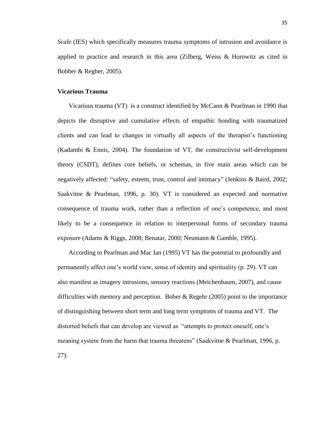*Scale* (IES) which specifically measures trauma symptoms of intrusion and avoidance is applied to practice and research in this area (Zilberg, Weiss & Horowitz as cited in Bobber & Regher, 2005).

# **Vicarious Trauma**

 Vicarious trauma (VT) is a construct identified by McCann & Pearlman in 1990 that depicts the disruptive and cumulative effects of empathic bonding with traumatized clients and can lead to changes in virtually all aspects of the therapist's functioning (Kadambi & Ennis, 2004). The foundation of VT, the constructivist self-development theory (CSDT), defines core beliefs, or schemas, in five main areas which can be negatively affected: "safety, esteem, trust, control and intimacy" (Jenkins & Baird, 2002; Saakvitne & Pearlman, 1996, p. 30). VT is considered an expected and normative consequence of trauma work, rather than a reflection of one's competence, and most likely to be a consequence in relation to interpersonal forms of secondary trauma exposure (Adams & Riggs, 2008; Benatar, 2000; Neumann & Gamble, 1995).

 According to Pearlman and Mac Ian (1995) VT has the potential to profoundly and permanently affect one's world view, sense of identity and spirituality (p. 29). VT can also manifest as imagery intrusions, sensory reactions (Meichenbaum, 2007), and cause difficulties with memory and perception. Bober & Regehr (2005) point to the importance of distinguishing between short term and long term symptoms of trauma and VT. The distorted beliefs that can develop are viewed as "attempts to protect oneself, one's meaning system from the harm that trauma threatens" (Saakvitne & Pearlman, 1996, p. 27).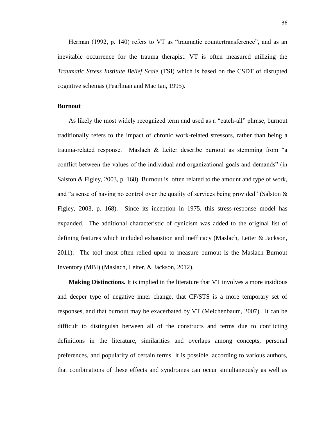Herman (1992, p. 140) refers to VT as "traumatic countertransference", and as an inevitable occurrence for the trauma therapist. VT is often measured utilizing the *Traumatic Stress Institute Belief Scale* (TSI) which is based on the CSDT of disrupted cognitive schemas (Pearlman and Mac Ian, 1995).

# **Burnout**

 As likely the most widely recognized term and used as a "catch-all" phrase, burnout traditionally refers to the impact of chronic work-related stressors, rather than being a trauma-related response. Maslach & Leiter describe burnout as stemming from "a conflict between the values of the individual and organizational goals and demands" (in Salston & Figley, 2003, p. 168). Burnout is often related to the amount and type of work, and "a sense of having no control over the quality of services being provided" (Salston & Figley, 2003, p. 168). Since its inception in 1975, this stress-response model has expanded. The additional characteristic of cynicism was added to the original list of defining features which included exhaustion and inefficacy (Maslach, Leiter & Jackson, 2011). The tool most often relied upon to measure burnout is the Maslach Burnout Inventory (MBI) (Maslach, Leiter, & Jackson, 2012).

 **Making Distinctions.** It is implied in the literature that VT involves a more insidious and deeper type of negative inner change, that CF/STS is a more temporary set of responses, and that burnout may be exacerbated by VT (Meichenbaum, 2007). It can be difficult to distinguish between all of the constructs and terms due to conflicting definitions in the literature, similarities and overlaps among concepts, personal preferences, and popularity of certain terms. It is possible, according to various authors, that combinations of these effects and syndromes can occur simultaneously as well as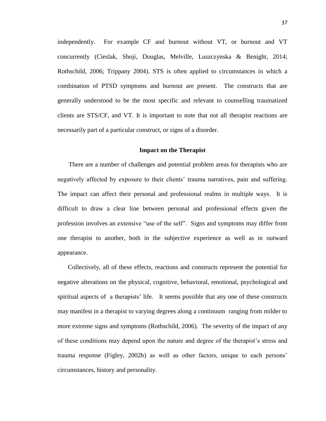independently. For example CF and burnout without VT, or burnout and VT concurrently (Cieslak, Shoji, Douglas, Melville, Luszczynska & Benight, 2014; Rothschild, 2006; Trippany 2004). STS is often applied to circumstances in which a combination of PTSD symptoms and burnout are present. The constructs that are generally understood to be the most specific and relevant to counselling traumatized clients are STS/CF, and VT. It is important to note that not all therapist reactions are necessarily part of a particular construct, or signs of a disorder.

## **Impact on the Therapist**

 There are a number of challenges and potential problem areas for therapists who are negatively affected by exposure to their clients' trauma narratives, pain and suffering. The impact can affect their personal and professional realms in multiple ways. It is difficult to draw a clear line between personal and professional effects given the profession involves an extensive "use of the self". Signs and symptoms may differ from one therapist to another, both in the subjective experience as well as in outward appearance.

 Collectively, all of these effects, reactions and constructs represent the potential for negative alterations on the physical, cognitive, behavioral, emotional, psychological and spiritual aspects of a therapists' life. It seems possible that any one of these constructs may manifest in a therapist to varying degrees along a continuum ranging from milder to more extreme signs and symptoms (Rothschild, 2006). The severity of the impact of any of these conditions may depend upon the nature and degree of the therapist's stress and trauma response (Figley, 2002b) as well as other factors, unique to each persons' circumstances, history and personality.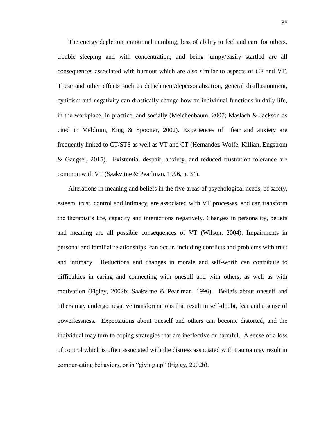The energy depletion, emotional numbing, loss of ability to feel and care for others, trouble sleeping and with concentration, and being jumpy/easily startled are all consequences associated with burnout which are also similar to aspects of CF and VT. These and other effects such as detachment/depersonalization, general disillusionment, cynicism and negativity can drastically change how an individual functions in daily life, in the workplace, in practice, and socially (Meichenbaum, 2007; Maslach & Jackson as cited in Meldrum, King & Spooner, 2002). Experiences of fear and anxiety are frequently linked to CT/STS as well as VT and CT (Hernandez-Wolfe, Killian, Engstrom & Gangsei, 2015). Existential despair, anxiety, and reduced frustration tolerance are common with VT (Saakvitne & Pearlman, 1996, p. 34).

 Alterations in meaning and beliefs in the five areas of psychological needs, of safety, esteem, trust, control and intimacy, are associated with VT processes, and can transform the therapist's life, capacity and interactions negatively. Changes in personality, beliefs and meaning are all possible consequences of VT (Wilson, 2004). Impairments in personal and familial relationships can occur, including conflicts and problems with trust and intimacy. Reductions and changes in morale and self-worth can contribute to difficulties in caring and connecting with oneself and with others, as well as with motivation (Figley, 2002b; Saakvitne & Pearlman, 1996). Beliefs about oneself and others may undergo negative transformations that result in self-doubt, fear and a sense of powerlessness. Expectations about oneself and others can become distorted, and the individual may turn to coping strategies that are ineffective or harmful. A sense of a loss of control which is often associated with the distress associated with trauma may result in compensating behaviors, or in "giving up" (Figley, 2002b).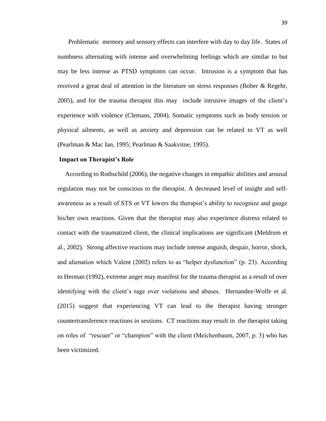Problematic memory and sensory effects can interfere with day to day life. States of numbness alternating with intense and overwhelming feelings which are similar to but may be less intense as PTSD symptoms can occur. Intrusion is a symptom that has received a great deal of attention in the literature on stress responses (Bober & Regehr, 2005), and for the trauma therapist this may include intrusive images of the client's experience with violence (Clemans, 2004). Somatic symptoms such as body tension or physical ailments, as well as anxiety and depression can be related to VT as well (Pearlman & Mac Ian, 1995; Pearlman & Saakvitne, 1995).

## **Impact on Therapist's Role**

According to Rothschild (2006), the negative changes in empathic abilities and arousal regulation may not be conscious to the therapist. A decreased level of insight and selfawareness as a result of STS or VT lowers the therapist's ability to recognize and gauge his/her own reactions. Given that the therapist may also experience distress related to contact with the traumatized client, the clinical implications are significant (Meldrum et al., 2002). Strong affective reactions may include intense anguish, despair, horror, shock, and alienation which Valent (2002) refers to as "helper dysfunction" (p. 23). According to Herman (1992), extreme anger may manifest for the trauma therapist as a result of over identifying with the client's rage over violations and abuses. Hernandez-Wolfe et al. (2015) suggest that experiencing VT can lead to the therapist having stronger countertransference reactions in sessions. CT reactions may result in the therapist taking on roles of "rescuer" or "champion" with the client (Meichenbaum, 2007, p. 3) who has been victimized.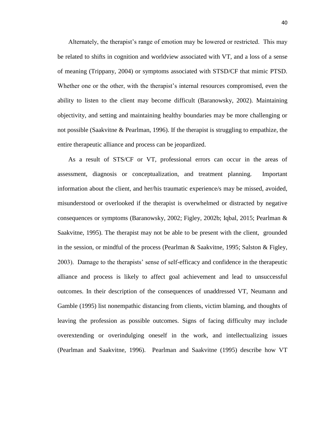Alternately, the therapist's range of emotion may be lowered or restricted. This may be related to shifts in cognition and worldview associated with VT, and a loss of a sense of meaning (Trippany, 2004) or symptoms associated with STSD/CF that mimic PTSD. Whether one or the other, with the therapist's internal resources compromised, even the ability to listen to the client may become difficult (Baranowsky, 2002). Maintaining objectivity, and setting and maintaining healthy boundaries may be more challenging or not possible (Saakvitne & Pearlman, 1996). If the therapist is struggling to empathize, the entire therapeutic alliance and process can be jeopardized.

 As a result of STS/CF or VT, professional errors can occur in the areas of assessment, diagnosis or conceptualization, and treatment planning. Important information about the client, and her/his traumatic experience/s may be missed, avoided, misunderstood or overlooked if the therapist is overwhelmed or distracted by negative consequences or symptoms (Baranowsky, 2002; Figley, 2002b; Iqbal, 2015; Pearlman & Saakvitne, 1995). The therapist may not be able to be present with the client, grounded in the session, or mindful of the process (Pearlman & Saakvitne, 1995; Salston & Figley, 2003). Damage to the therapists' sense of self-efficacy and confidence in the therapeutic alliance and process is likely to affect goal achievement and lead to unsuccessful outcomes. In their description of the consequences of unaddressed VT, Neumann and Gamble (1995) list nonempathic distancing from clients, victim blaming, and thoughts of leaving the profession as possible outcomes. Signs of facing difficulty may include overextending or overindulging oneself in the work, and intellectualizing issues (Pearlman and Saakvitne, 1996). Pearlman and Saakvitne (1995) describe how VT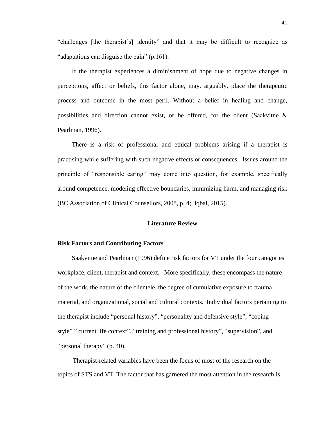"challenges [the therapist's] identity" and that it may be difficult to recognize as "adaptations can disguise the pain" (p.161).

 If the therapist experiences a diminishment of hope due to negative changes in perceptions, affect or beliefs, this factor alone, may, arguably, place the therapeutic process and outcome in the most peril. Without a belief in healing and change, possibilities and direction cannot exist, or be offered, for the client (Saakvitne & Pearlman, 1996).

There is a risk of professional and ethical problems arising if a therapist is practising while suffering with such negative effects or consequences. Issues around the principle of "responsible caring" may come into question, for example, specifically around competence, modeling effective boundaries, minimizing harm, and managing risk (BC Association of Clinical Counsellors, 2008, p. 4; Iqbal, 2015).

## **Literature Review**

# **Risk Factors and Contributing Factors**

Saakvitne and Pearlman (1996) define risk factors for VT under the four categories workplace, client, therapist and context. More specifically, these encompass the nature of the work, the nature of the clientele, the degree of cumulative exposure to trauma material, and organizational, social and cultural contexts. Individual factors pertaining to the therapist include "personal history", "personality and defensive style", "coping style"," current life context", "training and professional history", "supervision", and "personal therapy" (p. 40).

Therapist-related variables have been the focus of most of the research on the topics of STS and VT. The factor that has garnered the most attention in the research is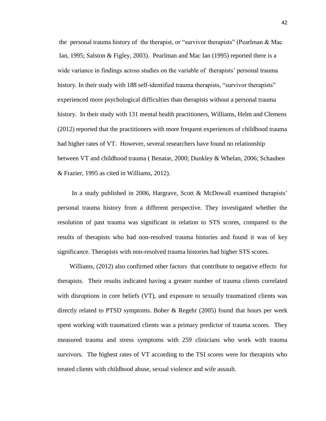the personal trauma history of the therapist, or "survivor therapists" (Pearlman & Mac Ian, 1995; Salston & Figley, 2003). Pearlman and Mac Ian (1995) reported there is a wide variance in findings across studies on the variable of therapists' personal trauma history. In their study with 188 self-identified trauma therapists, "survivor therapists" experienced more psychological difficulties than therapists without a personal trauma history. In their study with 131 mental health practitioners, Williams, Helm and Clemens (2012) reported that the practitioners with more frequent experiences of childhood trauma had higher rates of VT. However, several researchers have found no relationship between VT and childhood trauma ( Benatar, 2000; Dunkley & Whelan, 2006; Schauben & Frazier, 1995 as cited in Williams, 2012).

In a study published in 2006, Hargrave, Scott & McDowall examined therapists' personal trauma history from a different perspective. They investigated whether the resolution of past trauma was significant in relation to STS scores, compared to the results of therapists who had non-resolved trauma histories and found it was of key significance. Therapists with non-resolved trauma histories had higher STS scores.

Williams, (2012) also confirmed other factors that contribute to negative effects for therapists. Their results indicated having a greater number of trauma clients correlated with disruptions in core beliefs (VT), and exposure to sexually traumatized clients was directly related to PTSD symptoms. Bober & Regehr (2005) found that hours per week spent working with traumatized clients was a primary predictor of trauma scores. They measured trauma and stress symptoms with 259 clinicians who work with trauma survivors. The highest rates of VT according to the TSI scores were for therapists who treated clients with childhood abuse, sexual violence and wife assault.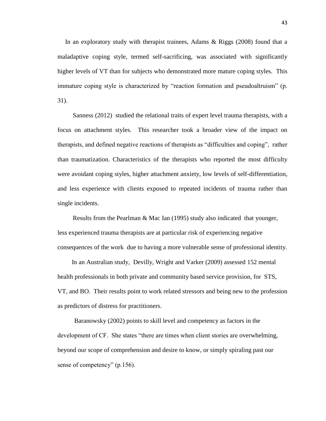In an exploratory study with therapist trainees, Adams  $\&$  Riggs (2008) found that a maladaptive coping style, termed self-sacrificing, was associated with significantly higher levels of VT than for subjects who demonstrated more mature coping styles. This immature coping style is characterized by "reaction formation and pseudoaltruism" (p. 31).

Sanness (2012) studied the relational traits of expert level trauma therapists, with a focus on attachment styles. This researcher took a broader view of the impact on therapists, and defined negative reactions of therapists as "difficulties and coping", rather than traumatization. Characteristics of the therapists who reported the most difficulty were avoidant coping styles, higher attachment anxiety, low levels of self-differentiation, and less experience with clients exposed to repeated incidents of trauma rather than single incidents.

Results from the Pearlman & Mac Ian (1995) study also indicated that younger, less experienced trauma therapists are at particular risk of experiencing negative consequences of the work due to having a more vulnerable sense of professional identity.

In an Australian study, Devilly, Wright and Varker (2009) assessed 152 mental health professionals in both private and community based service provision, for STS, VT, and BO. Their results point to work related stressors and being new to the profession as predictors of distress for practitioners.

Baranowsky (2002) points to skill level and competency as factors in the development of CF. She states "there are times when client stories are overwhelming, beyond our scope of comprehension and desire to know, or simply spiraling past our sense of competency" (p.156).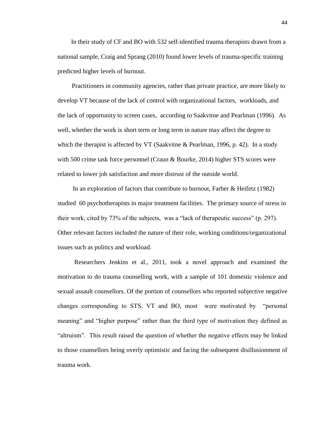In their study of CF and BO with 532 self-identified trauma therapists drawn from a national sample, Craig and Sprang (2010) found lower levels of trauma-specific training predicted higher levels of burnout.

Practitioners in community agencies, rather than private practice, are more likely to develop VT because of the lack of control with organizational factors, workloads, and the lack of opportunity to screen cases, according to Saakvitne and Pearlman (1996). As well, whether the work is short term or long term in nature may affect the degree to which the therapist is affected by VT (Saakvitne & Pearlman, 1996, p. 42). In a study with 500 crime task force personnel (Craun & Bourke, 2014) higher STS scores were related to lower job satisfaction and more distrust of the outside world.

In an exploration of factors that contribute to burnout, Farber & Heifetz (1982) studied 60 psychotherapists in major treatment facilities. The primary source of stress in their work, cited by 73% of the subjects, was a "lack of therapeutic success" (p. 297). Other relevant factors included the nature of their role, working conditions/organizational issues such as politics and workload.

Researchers Jenkins et al., 2011, took a novel approach and examined the motivation to do trauma counselling work, with a sample of 101 domestic violence and sexual assault counsellors. Of the portion of counsellors who reported subjective negative changes corresponding to STS, VT and BO, most were motivated by "personal meaning" and "higher purpose" rather than the third type of motivation they defined as "altruism". This result raised the question of whether the negative effects may be linked to those counsellors being overly optimistic and facing the subsequent disillusionment of trauma work.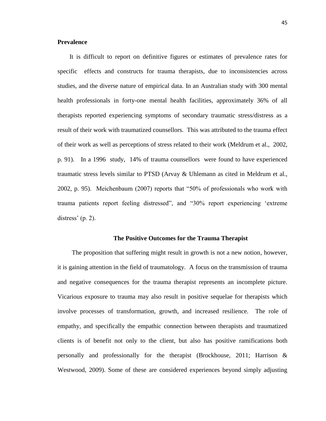# **Prevalence**

It is difficult to report on definitive figures or estimates of prevalence rates for specific effects and constructs for trauma therapists, due to inconsistencies across studies, and the diverse nature of empirical data. In an Australian study with 300 mental health professionals in forty-one mental health facilities, approximately 36% of all therapists reported experiencing symptoms of secondary traumatic stress/distress as a result of their work with traumatized counsellors. This was attributed to the trauma effect of their work as well as perceptions of stress related to their work (Meldrum et al., 2002, p. 91). In a 1996 study, 14% of trauma counsellors were found to have experienced traumatic stress levels similar to PTSD (Arvay & Uhlemann as cited in Meldrum et al., 2002, p. 95). Meichenbaum (2007) reports that "50% of professionals who work with trauma patients report feeling distressed", and "30% report experiencing 'extreme distress' (p. 2).

## **The Positive Outcomes for the Trauma Therapist**

The proposition that suffering might result in growth is not a new notion, however, it is gaining attention in the field of traumatology. A focus on the transmission of trauma and negative consequences for the trauma therapist represents an incomplete picture. Vicarious exposure to trauma may also result in positive sequelae for therapists which involve processes of transformation, growth, and increased resilience. The role of empathy, and specifically the empathic connection between therapists and traumatized clients is of benefit not only to the client, but also has positive ramifications both personally and professionally for the therapist (Brockhouse, 2011; Harrison & Westwood, 2009). Some of these are considered experiences beyond simply adjusting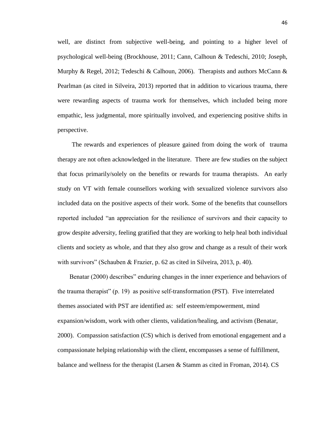well, are distinct from subjective well-being, and pointing to a higher level of psychological well-being (Brockhouse, 2011; Cann, Calhoun & Tedeschi, 2010; Joseph, Murphy & Regel, 2012; Tedeschi & Calhoun, 2006). Therapists and authors McCann & Pearlman (as cited in Silveira, 2013) reported that in addition to vicarious trauma, there were rewarding aspects of trauma work for themselves, which included being more empathic, less judgmental, more spiritually involved, and experiencing positive shifts in perspective.

The rewards and experiences of pleasure gained from doing the work of trauma therapy are not often acknowledged in the literature. There are few studies on the subject that focus primarily/solely on the benefits or rewards for trauma therapists. An early study on VT with female counsellors working with sexualized violence survivors also included data on the positive aspects of their work. Some of the benefits that counsellors reported included "an appreciation for the resilience of survivors and their capacity to grow despite adversity, feeling gratified that they are working to help heal both individual clients and society as whole, and that they also grow and change as a result of their work with survivors" (Schauben & Frazier, p. 62 as cited in Silveira, 2013, p. 40).

Benatar (2000) describes" enduring changes in the inner experience and behaviors of the trauma therapist" (p. 19) as positive self-transformation (PST). Five interrelated themes associated with PST are identified as: self esteem/empowerment, mind expansion/wisdom, work with other clients, validation/healing, and activism (Benatar, 2000). Compassion satisfaction (CS) which is derived from emotional engagement and a compassionate helping relationship with the client, encompasses a sense of fulfillment, balance and wellness for the therapist (Larsen & Stamm as cited in Froman, 2014). CS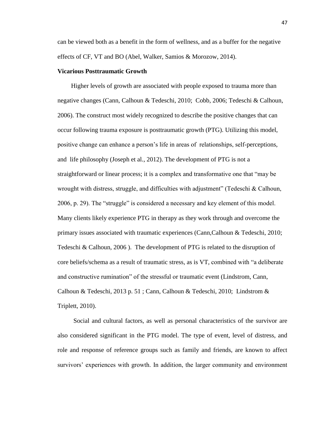can be viewed both as a benefit in the form of wellness, and as a buffer for the negative effects of CF, VT and BO (Abel, Walker, Samios & Morozow, 2014).

## **Vicarious Posttraumatic Growth**

Higher levels of growth are associated with people exposed to trauma more than negative changes (Cann, Calhoun & Tedeschi, 2010; Cobb, 2006; Tedeschi & Calhoun, 2006). The construct most widely recognized to describe the positive changes that can occur following trauma exposure is posttraumatic growth (PTG). Utilizing this model, positive change can enhance a person's life in areas of relationships, self-perceptions, and life philosophy (Joseph et al., 2012). The development of PTG is not a straightforward or linear process; it is a complex and transformative one that "may be wrought with distress, struggle, and difficulties with adjustment" (Tedeschi & Calhoun, 2006, p. 29). The "struggle" is considered a necessary and key element of this model. Many clients likely experience PTG in therapy as they work through and overcome the primary issues associated with traumatic experiences (Cann,Calhoun & Tedeschi, 2010; Tedeschi & Calhoun, 2006 ). The development of PTG is related to the disruption of core beliefs/schema as a result of traumatic stress, as is VT, combined with "a deliberate and constructive rumination" of the stressful or traumatic event (Lindstrom, Cann, Calhoun & Tedeschi, 2013 p. 51 ; Cann, Calhoun & Tedeschi, 2010; Lindstrom & Triplett, 2010).

Social and cultural factors, as well as personal characteristics of the survivor are also considered significant in the PTG model. The type of event, level of distress, and role and response of reference groups such as family and friends, are known to affect survivors' experiences with growth. In addition, the larger community and environment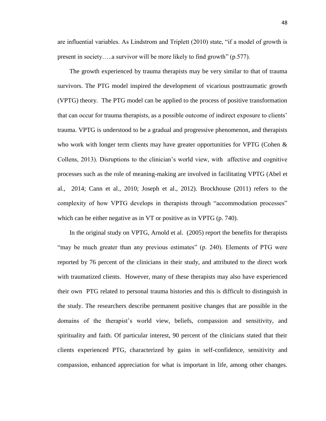are influential variables. As Lindstrom and Triplett (2010) state, "if a model of growth is present in society…..a survivor will be more likely to find growth" (p.577).

The growth experienced by trauma therapists may be very similar to that of trauma survivors. The PTG model inspired the development of vicarious posttraumatic growth (VPTG) theory. The PTG model can be applied to the process of positive transformation that can occur for trauma therapists, as a possible outcome of indirect exposure to clients' trauma. VPTG is understood to be a gradual and progressive phenomenon, and therapists who work with longer term clients may have greater opportunities for VPTG (Cohen & Collens, 2013). Disruptions to the clinician's world view, with affective and cognitive processes such as the role of meaning-making are involved in facilitating VPTG (Abel et al., 2014; Cann et al., 2010; Joseph et al., 2012). Brockhouse (2011) refers to the complexity of how VPTG develops in therapists through "accommodation processes" which can be either negative as in VT or positive as in VPTG (p. 740).

In the original study on VPTG, Arnold et al. (2005) report the benefits for therapists "may be much greater than any previous estimates" (p. 240). Elements of PTG were reported by 76 percent of the clinicians in their study, and attributed to the direct work with traumatized clients. However, many of these therapists may also have experienced their own PTG related to personal trauma histories and this is difficult to distinguish in the study. The researchers describe permanent positive changes that are possible in the domains of the therapist's world view, beliefs, compassion and sensitivity, and spirituality and faith. Of particular interest, 90 percent of the clinicians stated that their clients experienced PTG, characterized by gains in self-confidence, sensitivity and compassion, enhanced appreciation for what is important in life, among other changes.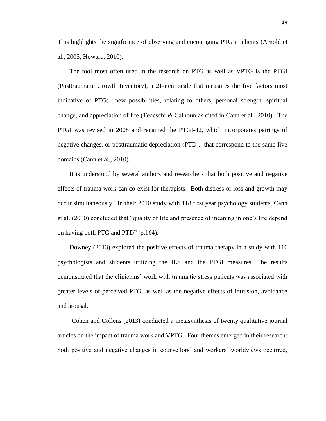This highlights the significance of observing and encouraging PTG in clients (Arnold et al., 2005; Howard, 2010).

The tool most often used in the research on PTG as well as VPTG is the PTGI (Posttraumatic Growth Inventory), a 21-item scale that measures the five factors most indicative of PTG: new possibilities, relating to others, personal strength, spiritual change, and appreciation of life (Tedeschi & Calhoun as cited in Cann et al., 2010). The PTGI was revised in 2008 and renamed the PTGI-42, which incorporates pairings of negative changes, or posttraumatic depreciation (PTD), that correspond to the same five domains (Cann et al., 2010).

It is understood by several authors and researchers that both positive and negative effects of trauma work can co-exist for therapists. Both distress or loss and growth may occur simultaneously. In their 2010 study with 118 first year psychology students, Cann et al. (2010) concluded that "quality of life and presence of meaning in one's life depend on having both PTG and PTD" (p.164).

Downey (2013) explored the positive effects of trauma therapy in a study with 116 psychologists and students utilizing the IES and the PTGI measures. The results demonstrated that the clinicians' work with traumatic stress patients was associated with greater levels of perceived PTG, as well as the negative effects of intrusion, avoidance and arousal.

Cohen and Collens (2013) conducted a metasynthesis of twenty qualitative journal articles on the impact of trauma work and VPTG. Four themes emerged in their research: both positive and negative changes in counsellors' and workers' worldviews occurred,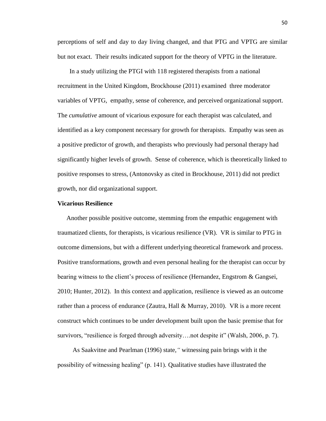perceptions of self and day to day living changed, and that PTG and VPTG are similar but not exact. Their results indicated support for the theory of VPTG in the literature.

In a study utilizing the PTGI with 118 registered therapists from a national recruitment in the United Kingdom, Brockhouse (2011) examined three moderator variables of VPTG, empathy, sense of coherence, and perceived organizational support. The *cumulative* amount of vicarious exposure for each therapist was calculated, and identified as a key component necessary for growth for therapists. Empathy was seen as a positive predictor of growth, and therapists who previously had personal therapy had significantly higher levels of growth. Sense of coherence, which is theoretically linked to positive responses to stress, (Antonovsky as cited in Brockhouse, 2011) did not predict growth, nor did organizational support.

## **Vicarious Resilience**

Another possible positive outcome, stemming from the empathic engagement with traumatized clients, for therapists, is vicarious resilience (VR). VR is similar to PTG in outcome dimensions, but with a different underlying theoretical framework and process. Positive transformations, growth and even personal healing for the therapist can occur by bearing witness to the client's process of resilience (Hernandez, Engstrom & Gangsei, 2010; Hunter, 2012). In this context and application, resilience is viewed as an outcome rather than a process of endurance (Zautra, Hall & Murray, 2010). VR is a more recent construct which continues to be under development built upon the basic premise that for survivors, "resilience is forged through adversity….not despite it" (Walsh, 2006, p. 7).

 As Saakvitne and Pearlman (1996) state,*"* witnessing pain brings with it the possibility of witnessing healing" (p. 141)*.* Qualitative studies have illustrated the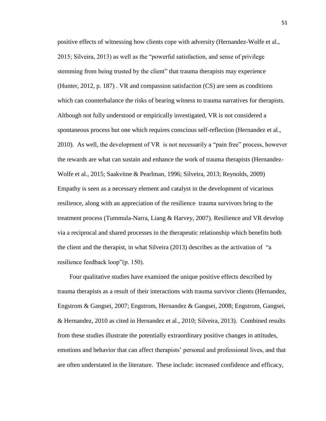positive effects of witnessing how clients cope with adversity (Hernandez-Wolfe et al., 2015; Silveira, 2013) as well as the "powerful satisfaction, and sense of privilege stemming from being trusted by the client" that trauma therapists may experience (Hunter, 2012, p. 187) . VR and compassion satisfaction (CS) are seen as conditions which can counterbalance the risks of bearing witness to trauma narratives for therapists. Although not fully understood or empirically investigated, VR is not considered a spontaneous process but one which requires conscious self-reflection (Hernandez et al., 2010). As well, the development of VR is not necessarily a "pain free" process, however the rewards are what can sustain and enhance the work of trauma therapists (Hernandez-Wolfe et al., 2015; Saakvitne & Pearlman, 1996; Silveira, 2013; Reynolds, 2009) Empathy is seen as a necessary element and catalyst in the development of vicarious resilience, along with an appreciation of the resilience trauma survivors bring to the treatment process (Tummula-Narra, Liang & Harvey, 2007). Resilience and VR develop via a reciprocal and shared processes in the therapeutic relationship which benefits both the client and the therapist, in what Silveira (2013) describes as the activation of "a resilience feedback loop"(p. 150).

Four qualitative studies have examined the unique positive effects described by trauma therapists as a result of their interactions with trauma survivor clients (Hernandez, Engstrom & Gangsei, 2007; Engstrom, Hernandez & Gangsei, 2008; Engstrom, Gangsei, & Hernandez, 2010 as cited in Hernandez et al., 2010; Silveira, 2013). Combined results from these studies illustrate the potentially extraordinary positive changes in attitudes, emotions and behavior that can affect therapists' personal and professional lives, and that are often understated in the literature. These include: increased confidence and efficacy,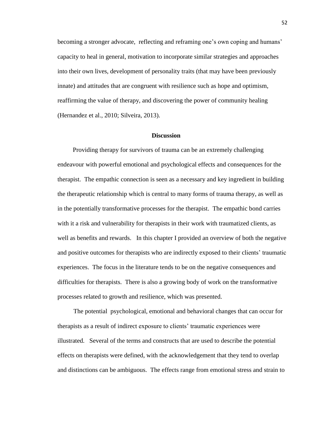becoming a stronger advocate, reflecting and reframing one's own coping and humans' capacity to heal in general, motivation to incorporate similar strategies and approaches into their own lives, development of personality traits (that may have been previously innate) and attitudes that are congruent with resilience such as hope and optimism, reaffirming the value of therapy, and discovering the power of community healing (Hernandez et al., 2010; Silveira, 2013).

#### **Discussion**

Providing therapy for survivors of trauma can be an extremely challenging endeavour with powerful emotional and psychological effects and consequences for the therapist. The empathic connection is seen as a necessary and key ingredient in building the therapeutic relationship which is central to many forms of trauma therapy, as well as in the potentially transformative processes for the therapist. The empathic bond carries with it a risk and vulnerability for therapists in their work with traumatized clients, as well as benefits and rewards. In this chapter I provided an overview of both the negative and positive outcomes for therapists who are indirectly exposed to their clients' traumatic experiences. The focus in the literature tends to be on the negative consequences and difficulties for therapists. There is also a growing body of work on the transformative processes related to growth and resilience, which was presented.

The potential psychological, emotional and behavioral changes that can occur for therapists as a result of indirect exposure to clients' traumatic experiences were illustrated. Several of the terms and constructs that are used to describe the potential effects on therapists were defined, with the acknowledgement that they tend to overlap and distinctions can be ambiguous. The effects range from emotional stress and strain to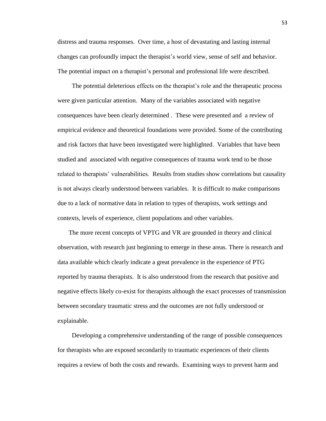distress and trauma responses. Over time, a host of devastating and lasting internal changes can profoundly impact the therapist's world view, sense of self and behavior. The potential impact on a therapist's personal and professional life were described.

The potential deleterious effects on the therapist's role and the therapeutic process were given particular attention. Many of the variables associated with negative consequences have been clearly determined . These were presented and a review of empirical evidence and theoretical foundations were provided. Some of the contributing and risk factors that have been investigated were highlighted. Variables that have been studied and associated with negative consequences of trauma work tend to be those related to therapists' vulnerabilities. Results from studies show correlations but causality is not always clearly understood between variables. It is difficult to make comparisons due to a lack of normative data in relation to types of therapists, work settings and contexts, levels of experience, client populations and other variables.

 The more recent concepts of VPTG and VR are grounded in theory and clinical observation, with research just beginning to emerge in these areas. There is research and data available which clearly indicate a great prevalence in the experience of PTG reported by trauma therapists. It is also understood from the research that positive and negative effects likely co-exist for therapists although the exact processes of transmission between secondary traumatic stress and the outcomes are not fully understood or explainable.

Developing a comprehensive understanding of the range of possible consequences for therapists who are exposed secondarily to traumatic experiences of their clients requires a review of both the costs and rewards. Examining ways to prevent harm and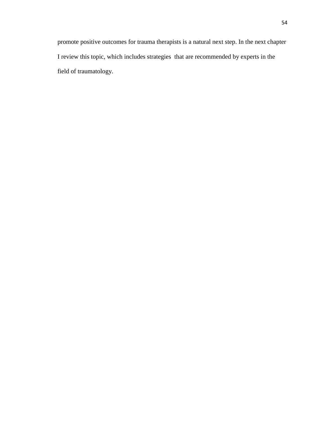promote positive outcomes for trauma therapists is a natural next step. In the next chapter I review this topic, which includes strategies that are recommended by experts in the field of traumatology.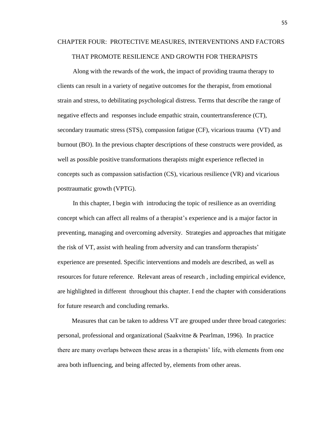# CHAPTER FOUR: PROTECTIVE MEASURES, INTERVENTIONS AND FACTORS THAT PROMOTE RESILIENCE AND GROWTH FOR THERAPISTS

Along with the rewards of the work, the impact of providing trauma therapy to clients can result in a variety of negative outcomes for the therapist, from emotional strain and stress, to debilitating psychological distress. Terms that describe the range of negative effects and responses include empathic strain, countertransference (CT), secondary traumatic stress (STS), compassion fatigue (CF), vicarious trauma (VT) and burnout (BO). In the previous chapter descriptions of these constructs were provided, as well as possible positive transformations therapists might experience reflected in concepts such as compassion satisfaction (CS), vicarious resilience (VR) and vicarious posttraumatic growth (VPTG).

In this chapter, I begin with introducing the topic of resilience as an overriding concept which can affect all realms of a therapist's experience and is a major factor in preventing, managing and overcoming adversity. Strategies and approaches that mitigate the risk of VT, assist with healing from adversity and can transform therapists' experience are presented. Specific interventions and models are described, as well as resources for future reference. Relevant areas of research , including empirical evidence, are highlighted in different throughout this chapter. I end the chapter with considerations for future research and concluding remarks.

Measures that can be taken to address VT are grouped under three broad categories: personal, professional and organizational (Saakvitne & Pearlman, 1996). In practice there are many overlaps between these areas in a therapists' life, with elements from one area both influencing, and being affected by, elements from other areas.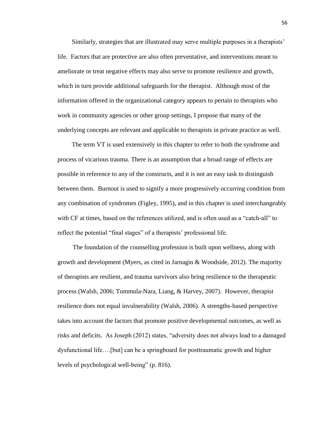Similarly, strategies that are illustrated may serve multiple purposes in a therapists' life. Factors that are protective are also often preventative, and interventions meant to ameliorate or treat negative effects may also serve to promote resilience and growth, which in turn provide additional safeguards for the therapist. Although most of the information offered in the organizational category appears to pertain to therapists who work in community agencies or other group settings, I propose that many of the underlying concepts are relevant and applicable to therapists in private practice as well.

The term VT is used extensively in this chapter to refer to both the syndrome and process of vicarious trauma. There is an assumption that a broad range of effects are possible in reference to any of the constructs, and it is not an easy task to distinguish between them. Burnout is used to signify a more progressively occurring condition from any combination of syndromes (Figley, 1995), and in this chapter is used interchangeably with CF at times, based on the references utilized, and is often used as a "catch-all" to reflect the potential "final stages" of a therapists' professional life.

The foundation of the counselling profession is built upon wellness, along with growth and development (Myers, as cited in Jarnagin & Woodside, 2012). The majority of therapists are resilient, and trauma survivors also bring resilience to the therapeutic process (Walsh, 2006; Tummula-Nara, Liang, & Harvey, 2007). However, therapist resilience does not equal invulnerability (Walsh, 2006). A strengths-based perspective takes into account the factors that promote positive developmental outcomes, as well as risks and deficits. As Joseph (2012) states, "adversity does not always lead to a damaged dysfunctional life….[but] can be a springboard for posttraumatic growth and higher levels of psychological well-being" (p. 816).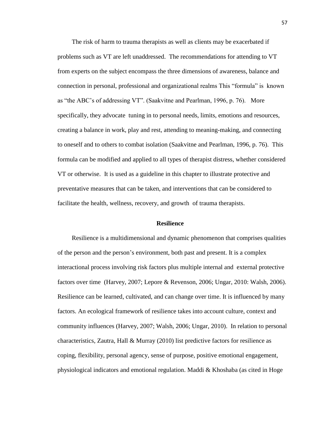The risk of harm to trauma therapists as well as clients may be exacerbated if problems such as VT are left unaddressed. The recommendations for attending to VT from experts on the subject encompass the three dimensions of awareness, balance and connection in personal, professional and organizational realms This "formula" is known as "the ABC's of addressing VT". (Saakvitne and Pearlman, 1996, p. 76). More specifically, they advocate tuning in to personal needs, limits, emotions and resources, creating a balance in work, play and rest, attending to meaning-making, and connecting to oneself and to others to combat isolation (Saakvitne and Pearlman, 1996, p. 76). This formula can be modified and applied to all types of therapist distress, whether considered VT or otherwise. It is used as a guideline in this chapter to illustrate protective and preventative measures that can be taken, and interventions that can be considered to facilitate the health, wellness, recovery, and growth of trauma therapists.

#### **Resilience**

Resilience is a multidimensional and dynamic phenomenon that comprises qualities of the person and the person's environment, both past and present. It is a complex interactional process involving risk factors plus multiple internal and external protective factors over time (Harvey, 2007; Lepore & Revenson, 2006; Ungar, 2010: Walsh, 2006). Resilience can be learned, cultivated, and can change over time. It is influenced by many factors. An ecological framework of resilience takes into account culture, context and community influences (Harvey, 2007; Walsh, 2006; Ungar, 2010). In relation to personal characteristics, Zautra, Hall & Murray (2010) list predictive factors for resilience as coping, flexibility, personal agency, sense of purpose, positive emotional engagement, physiological indicators and emotional regulation. Maddi & Khoshaba (as cited in Hoge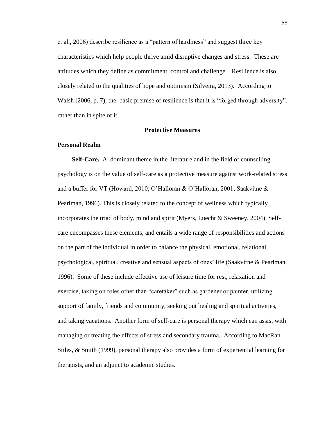et al., 2006) describe resilience as a "pattern of hardiness" and suggest three key characteristics which help people thrive amid disruptive changes and stress. These are attitudes which they define as commitment, control and challenge. Resilience is also closely related to the qualities of hope and optimism (Silveira, 2013). According to Walsh (2006, p. 7), the basic premise of resilience is that it is "forged through adversity", rather than in spite of it.

#### **Protective Measures**

## **Personal Realm**

**Self-Care.** A dominant theme in the literature and in the field of counselling psychology is on the value of self-care as a protective measure against work-related stress and a buffer for VT (Howard, 2010; O'Halloran & O'Halloran, 2001; Saakvitne & Pearlman, 1996). This is closely related to the concept of wellness which typically incorporates the triad of body, mind and spirit (Myers, Luecht & Sweeney, 2004). Selfcare encompasses these elements, and entails a wide range of responsibilities and actions on the part of the individual in order to balance the physical, emotional, relational, psychological, spiritual, creative and sensual aspects of ones' life (Saakvitne & Pearlman, 1996). Some of these include effective use of leisure time for rest, relaxation and exercise, taking on roles other than "caretaker" such as gardener or painter, utilizing support of family, friends and community, seeking out healing and spiritual activities, and taking vacations. Another form of self-care is personal therapy which can assist with managing or treating the effects of stress and secondary trauma. According to MacRan Stiles, & Smith (1999), personal therapy also provides a form of experiential learning for therapists, and an adjunct to academic studies.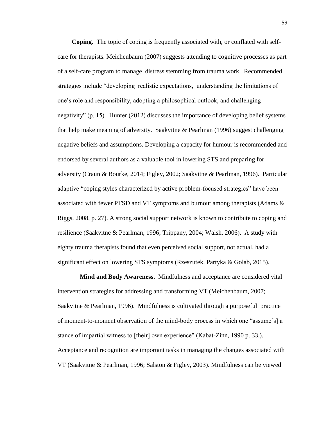**Coping.** The topic of coping is frequently associated with, or conflated with selfcare for therapists. Meichenbaum (2007) suggests attending to cognitive processes as part of a self-care program to manage distress stemming from trauma work. Recommended strategies include "developing realistic expectations, understanding the limitations of one's role and responsibility, adopting a philosophical outlook, and challenging negativity" (p. 15). Hunter (2012) discusses the importance of developing belief systems that help make meaning of adversity. Saakvitne & Pearlman (1996) suggest challenging negative beliefs and assumptions. Developing a capacity for humour is recommended and endorsed by several authors as a valuable tool in lowering STS and preparing for adversity (Craun & Bourke, 2014; Figley, 2002; Saakvitne & Pearlman, 1996). Particular adaptive "coping styles characterized by active problem-focused strategies" have been associated with fewer PTSD and VT symptoms and burnout among therapists (Adams & Riggs, 2008, p. 27). A strong social support network is known to contribute to coping and resilience (Saakvitne & Pearlman, 1996; Trippany, 2004; Walsh, 2006). A study with eighty trauma therapists found that even perceived social support, not actual, had a significant effect on lowering STS symptoms (Rzeszutek, Partyka & Golab, 2015).

 **Mind and Body Awareness.** Mindfulness and acceptance are considered vital intervention strategies for addressing and transforming VT (Meichenbaum, 2007; Saakvitne & Pearlman, 1996). Mindfulness is cultivated through a purposeful practice of moment-to-moment observation of the mind-body process in which one "assume[s] a stance of impartial witness to [their] own experience" (Kabat-Zinn, 1990 p. 33.). Acceptance and recognition are important tasks in managing the changes associated with VT (Saakvitne & Pearlman, 1996; Salston & Figley, 2003). Mindfulness can be viewed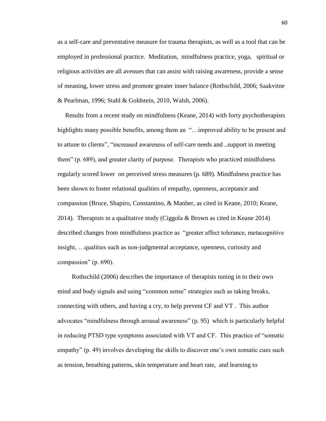as a self-care and preventative measure for trauma therapists, as well as a tool that can be employed in professional practice. Meditation, mindfulness practice, yoga, spiritual or religious activities are all avenues that can assist with raising awareness, provide a sense of meaning, lower stress and promote greater inner balance (Rothschild, 2006; Saakvitne & Pearlman, 1996; Stahl & Goldstein, 2010, Walsh, 2006).

Results from a recent study on mindfulness (Keane, 2014) with forty psychotherapists highlights many possible benefits, among them an "... improved ability to be present and to attune to clients", "increased awareness of self-care needs and ..support in meeting them" (p. 689), and greater clarity of purpose. Therapists who practiced mindfulness regularly scored lower on perceived stress measures (p. 689). Mindfulness practice has been shown to foster relational qualities of empathy, openness, acceptance and compassion (Bruce, Shapiro, Constantino, & Manber, as cited in Keane, 2010; Keane, 2014). Therapists in a qualitative study (Ciggola & Brown as cited in Keane 2014) described changes from mindfulness practice as "greater affect tolerance, metacognitive insight, …qualities such as non-judgmental acceptance, openness, curiosity and compassion" (p. 690).

Rothschild (2006) describes the importance of therapists tuning in to their own mind and body signals and using "common sense" strategies such as taking breaks, connecting with others, and having a cry, to help prevent CF and VT . This author advocates "mindfulness through arousal awareness" (p. 95) which is particularly helpful in reducing PTSD type symptoms associated with VT and CF. This practice of "somatic empathy" (p. 49) involves developing the skills to discover one's own somatic cues such as tension, breathing patterns, skin temperature and heart rate, and learning to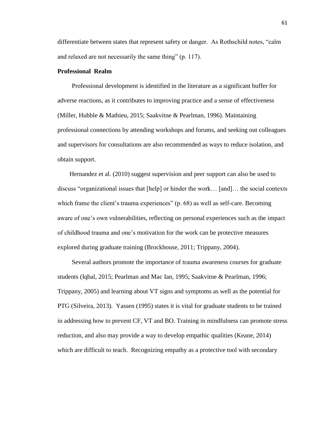differentiate between states that represent safety or danger. As Rothschild notes, "calm and relaxed are not necessarily the same thing" (p. 117).

## **Professional Realm**

Professional development is identified in the literature as a significant buffer for adverse reactions, as it contributes to improving practice and a sense of effectiveness (Miller, Hubble & Mathieu, 2015; Saakvitne & Pearlman, 1996). Maintaining professional connections by attending workshops and forums, and seeking out colleagues and supervisors for consultations are also recommended as ways to reduce isolation, and obtain support.

Hernandez et al. (2010) suggest supervision and peer support can also be used to discuss "organizational issues that [help] or hinder the work… [and]… the social contexts which frame the client's trauma experiences" (p. 68) as well as self-care. Becoming aware of one's own vulnerabilities, reflecting on personal experiences such as the impact of childhood trauma and one's motivation for the work can be protective measures explored during graduate training (Brockhouse, 2011; Trippany, 2004).

Several authors promote the importance of trauma awareness courses for graduate students (Iqbal, 2015; Pearlman and Mac Ian, 1995; Saakvitne & Pearlman, 1996; Trippany, 2005) and learning about VT signs and symptoms as well as the potential for PTG (Silveira, 2013). Yassen (1995) states it is vital for graduate students to be trained in addressing how to prevent CF, VT and BO. Training in mindfulness can promote stress reduction, and also may provide a way to develop empathic qualities (Keane, 2014) which are difficult to teach. Recognizing empathy as a protective tool with secondary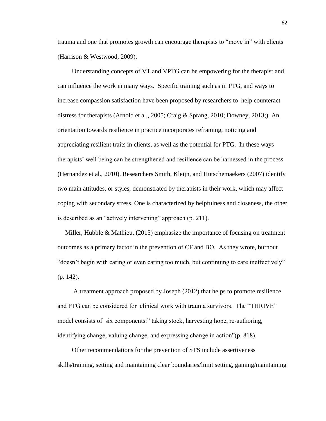trauma and one that promotes growth can encourage therapists to "move in" with clients (Harrison & Westwood, 2009).

Understanding concepts of VT and VPTG can be empowering for the therapist and can influence the work in many ways. Specific training such as in PTG, and ways to increase compassion satisfaction have been proposed by researchers to help counteract distress for therapists (Arnold et al., 2005; Craig & Sprang, 2010; Downey, 2013;). An orientation towards resilience in practice incorporates reframing, noticing and appreciating resilient traits in clients, as well as the potential for PTG. In these ways therapists' well being can be strengthened and resilience can be harnessed in the process (Hernandez et al., 2010). Researchers Smith, Kleijn, and Hutschemaekers (2007) identify two main attitudes, or styles, demonstrated by therapists in their work, which may affect coping with secondary stress. One is characterized by helpfulness and closeness, the other is described as an "actively intervening" approach (p. 211).

Miller, Hubble & Mathieu,  $(2015)$  emphasize the importance of focusing on treatment outcomes as a primary factor in the prevention of CF and BO. As they wrote, burnout "doesn't begin with caring or even caring too much, but continuing to care ineffectively" (p. 142).

A treatment approach proposed by Joseph (2012) that helps to promote resilience and PTG can be considered for clinical work with trauma survivors. The "THRIVE" model consists of six components:" taking stock, harvesting hope, re-authoring, identifying change, valuing change, and expressing change in action"(p. 818).

Other recommendations for the prevention of STS include assertiveness skills/training, setting and maintaining clear boundaries/limit setting, gaining/maintaining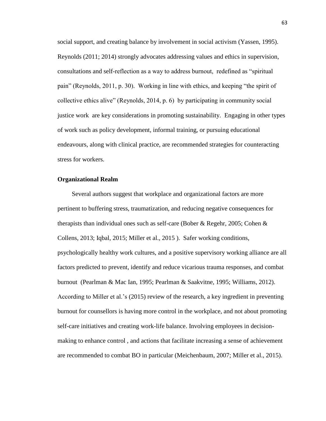social support, and creating balance by involvement in social activism (Yassen, 1995). Reynolds (2011; 2014) strongly advocates addressing values and ethics in supervision, consultations and self-reflection as a way to address burnout, redefined as "spiritual pain" (Reynolds, 2011, p. 30). Working in line with ethics, and keeping "the spirit of collective ethics alive" (Reynolds, 2014, p. 6) by participating in community social justice work are key considerations in promoting sustainability. Engaging in other types of work such as policy development, informal training, or pursuing educational endeavours, along with clinical practice, are recommended strategies for counteracting stress for workers.

#### **Organizational Realm**

Several authors suggest that workplace and organizational factors are more pertinent to buffering stress, traumatization, and reducing negative consequences for therapists than individual ones such as self-care (Bober & Regehr, 2005; Cohen & Collens, 2013; Iqbal, 2015; Miller et al., 2015 ). Safer working conditions, psychologically healthy work cultures, and a positive supervisory working alliance are all factors predicted to prevent, identify and reduce vicarious trauma responses, and combat burnout (Pearlman & Mac Ian, 1995; Pearlman & Saakvitne, 1995; Williams, 2012). According to Miller et al.'s (2015) review of the research, a key ingredient in preventing burnout for counsellors is having more control in the workplace, and not about promoting self-care initiatives and creating work-life balance. Involving employees in decisionmaking to enhance control , and actions that facilitate increasing a sense of achievement are recommended to combat BO in particular (Meichenbaum, 2007; Miller et al., 2015).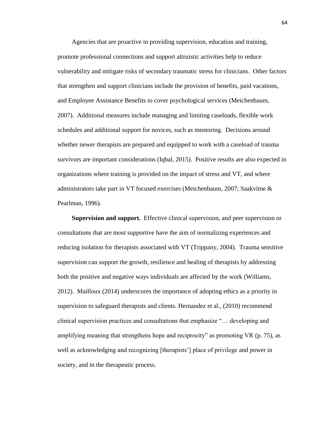Agencies that are proactive in providing supervision, education and training, promote professional connections and support altruistic activities help to reduce vulnerability and mitigate risks of secondary traumatic stress for clinicians. Other factors that strengthen and support clinicians include the provision of benefits, paid vacations, and Employee Assistance Benefits to cover psychological services (Meichenbaum, 2007). Additional measures include managing and limiting caseloads, flexible work schedules and additional support for novices, such as mentoring. Decisions around whether newer therapists are prepared and equipped to work with a caseload of trauma survivors are important considerations (Iqbal, 2015). Positive results are also expected in organizations where training is provided on the impact of stress and VT, and where administrators take part in VT focused exercises (Meichenbaum, 2007; Saakvitne & Pearlman, 1996).

**Supervision and support.** Effective clinical supervision, and peer supervision or consultations that are most supportive have the aim of normalizing experiences and reducing isolation for therapists associated with VT (Trippany, 2004). Trauma sensitive supervision can support the growth, resilience and healing of therapists by addressing both the positive and negative ways individuals are affected by the work (Williams, 2012). Mailloux (2014) underscores the importance of adopting ethics as a priority in supervision to safeguard therapists and clients. Hernandez et al., (2010) recommend clinical supervision practices and consultations that emphasize "… developing and amplifying meaning that strengthens hope and reciprocity" as promoting VR (p. 75), as well as acknowledging and recognizing [therapists'] place of privilege and power in society, and in the therapeutic process.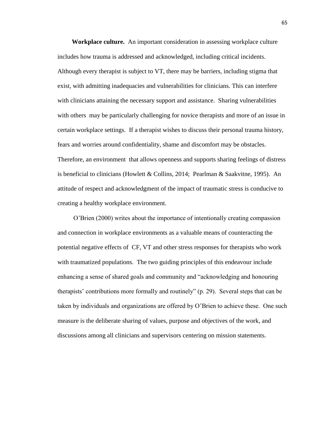**Workplace culture.** An important consideration in assessing workplace culture includes how trauma is addressed and acknowledged, including critical incidents. Although every therapist is subject to VT, there may be barriers, including stigma that exist, with admitting inadequacies and vulnerabilities for clinicians. This can interfere with clinicians attaining the necessary support and assistance. Sharing vulnerabilities with others may be particularly challenging for novice therapists and more of an issue in certain workplace settings. If a therapist wishes to discuss their personal trauma history, fears and worries around confidentiality, shame and discomfort may be obstacles. Therefore, an environment that allows openness and supports sharing feelings of distress is beneficial to clinicians (Howlett & Collins, 2014; Pearlman & Saakvitne, 1995). An attitude of respect and acknowledgment of the impact of traumatic stress is conducive to creating a healthy workplace environment.

O'Brien (2000) writes about the importance of intentionally creating compassion and connection in workplace environments as a valuable means of counteracting the potential negative effects of CF, VT and other stress responses for therapists who work with traumatized populations. The two guiding principles of this endeavour include enhancing a sense of shared goals and community and "acknowledging and honouring therapists' contributions more formally and routinely" (p. 29). Several steps that can be taken by individuals and organizations are offered by O'Brien to achieve these. One such measure is the deliberate sharing of values, purpose and objectives of the work, and discussions among all clinicians and supervisors centering on mission statements.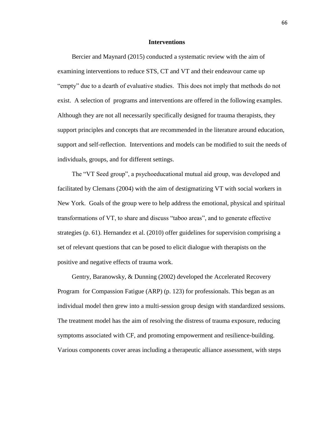### **Interventions**

Bercier and Maynard (2015) conducted a systematic review with the aim of examining interventions to reduce STS, CT and VT and their endeavour came up "empty" due to a dearth of evaluative studies. This does not imply that methods do not exist. A selection of programs and interventions are offered in the following examples. Although they are not all necessarily specifically designed for trauma therapists, they support principles and concepts that are recommended in the literature around education, support and self-reflection. Interventions and models can be modified to suit the needs of individuals, groups, and for different settings.

The "VT Seed group", a psychoeducational mutual aid group, was developed and facilitated by Clemans (2004) with the aim of destigmatizing VT with social workers in New York. Goals of the group were to help address the emotional, physical and spiritual transformations of VT, to share and discuss "taboo areas", and to generate effective strategies (p. 61). Hernandez et al. (2010) offer guidelines for supervision comprising a set of relevant questions that can be posed to elicit dialogue with therapists on the positive and negative effects of trauma work.

Gentry, Baranowsky, & Dunning (2002) developed the Accelerated Recovery Program for Compassion Fatigue (ARP) (p. 123) for professionals. This began as an individual model then grew into a multi-session group design with standardized sessions. The treatment model has the aim of resolving the distress of trauma exposure, reducing symptoms associated with CF, and promoting empowerment and resilience-building. Various components cover areas including a therapeutic alliance assessment, with steps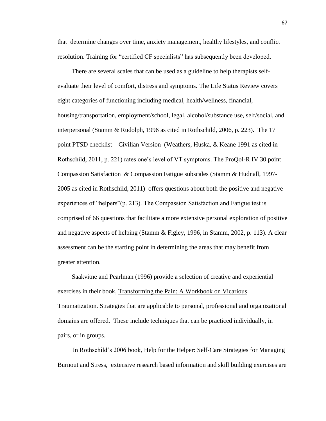that determine changes over time, anxiety management, healthy lifestyles, and conflict resolution. Training for "certified CF specialists" has subsequently been developed.

There are several scales that can be used as a guideline to help therapists selfevaluate their level of comfort, distress and symptoms. The Life Status Review covers eight categories of functioning including medical, health/wellness, financial, housing/transportation, employment/school, legal, alcohol/substance use, self/social, and interpersonal (Stamm & Rudolph, 1996 as cited in Rothschild, 2006, p. 223). The 17 point PTSD checklist – Civilian Version (Weathers, Huska, & Keane 1991 as cited in Rothschild, 2011, p. 221) rates one's level of VT symptoms. The ProQol-R IV 30 point Compassion Satisfaction & Compassion Fatigue subscales (Stamm & Hudnall, 1997- 2005 as cited in Rothschild, 2011) offers questions about both the positive and negative experiences of "helpers"(p. 213). The Compassion Satisfaction and Fatigue test is comprised of 66 questions that facilitate a more extensive personal exploration of positive and negative aspects of helping (Stamm & Figley, 1996, in Stamm, 2002, p. 113). A clear assessment can be the starting point in determining the areas that may benefit from greater attention.

Saakvitne and Pearlman (1996) provide a selection of creative and experiential exercises in their book, Transforming the Pain: A Workbook on Vicarious Traumatization. Strategies that are applicable to personal, professional and organizational domains are offered. These include techniques that can be practiced individually, in pairs, or in groups.

In Rothschild's 2006 book, Help for the Helper: Self-Care Strategies for Managing Burnout and Stress, extensive research based information and skill building exercises are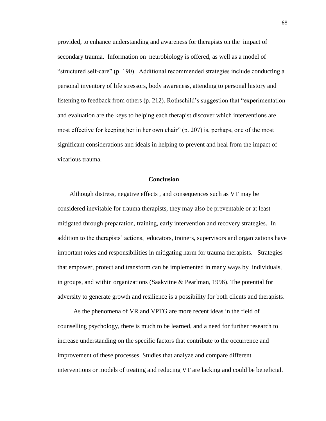provided, to enhance understanding and awareness for therapists on the impact of secondary trauma. Information on neurobiology is offered, as well as a model of "structured self-care" (p. 190). Additional recommended strategies include conducting a personal inventory of life stressors, body awareness, attending to personal history and listening to feedback from others (p. 212). Rothschild's suggestion that "experimentation and evaluation are the keys to helping each therapist discover which interventions are most effective for keeping her in her own chair" (p. 207) is, perhaps, one of the most significant considerations and ideals in helping to prevent and heal from the impact of vicarious trauma.

## **Conclusion**

Although distress, negative effects , and consequences such as VT may be considered inevitable for trauma therapists, they may also be preventable or at least mitigated through preparation, training, early intervention and recovery strategies. In addition to the therapists' actions, educators, trainers, supervisors and organizations have important roles and responsibilities in mitigating harm for trauma therapists. Strategies that empower, protect and transform can be implemented in many ways by individuals, in groups, and within organizations (Saakvitne & Pearlman, 1996). The potential for adversity to generate growth and resilience is a possibility for both clients and therapists.

As the phenomena of VR and VPTG are more recent ideas in the field of counselling psychology, there is much to be learned, and a need for further research to increase understanding on the specific factors that contribute to the occurrence and improvement of these processes. Studies that analyze and compare different interventions or models of treating and reducing VT are lacking and could be beneficial.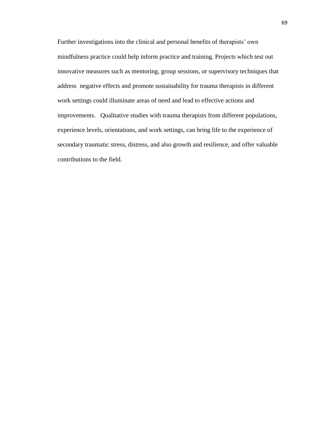Further investigations into the clinical and personal benefits of therapists' own mindfulness practice could help inform practice and training. Projects which test out innovative measures such as mentoring, group sessions, or supervisory techniques that address negative effects and promote sustainability for trauma therapists in different work settings could illuminate areas of need and lead to effective actions and improvements. Qualitative studies with trauma therapists from different populations, experience levels, orientations, and work settings, can bring life to the experience of secondary traumatic stress, distress, and also growth and resilience, and offer valuable contributions to the field.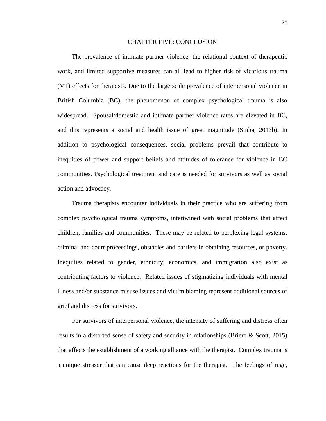## CHAPTER FIVE: CONCLUSION

The prevalence of intimate partner violence, the relational context of therapeutic work, and limited supportive measures can all lead to higher risk of vicarious trauma (VT) effects for therapists. Due to the large scale prevalence of interpersonal violence in British Columbia (BC), the phenomenon of complex psychological trauma is also widespread. Spousal/domestic and intimate partner violence rates are elevated in BC, and this represents a social and health issue of great magnitude (Sinha, 2013b). In addition to psychological consequences, social problems prevail that contribute to inequities of power and support beliefs and attitudes of tolerance for violence in BC communities. Psychological treatment and care is needed for survivors as well as social action and advocacy.

Trauma therapists encounter individuals in their practice who are suffering from complex psychological trauma symptoms, intertwined with social problems that affect children, families and communities. These may be related to perplexing legal systems, criminal and court proceedings, obstacles and barriers in obtaining resources, or poverty. Inequities related to gender, ethnicity, economics, and immigration also exist as contributing factors to violence. Related issues of stigmatizing individuals with mental illness and/or substance misuse issues and victim blaming represent additional sources of grief and distress for survivors.

For survivors of interpersonal violence, the intensity of suffering and distress often results in a distorted sense of safety and security in relationships (Briere & Scott, 2015) that affects the establishment of a working alliance with the therapist. Complex trauma is a unique stressor that can cause deep reactions for the therapist. The feelings of rage,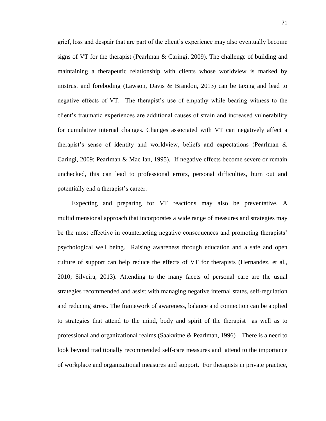grief, loss and despair that are part of the client's experience may also eventually become signs of VT for the therapist (Pearlman & Caringi, 2009). The challenge of building and maintaining a therapeutic relationship with clients whose worldview is marked by mistrust and foreboding (Lawson, Davis & Brandon, 2013) can be taxing and lead to negative effects of VT. The therapist's use of empathy while bearing witness to the client's traumatic experiences are additional causes of strain and increased vulnerability for cumulative internal changes. Changes associated with VT can negatively affect a therapist's sense of identity and worldview, beliefs and expectations (Pearlman & Caringi, 2009; Pearlman & Mac Ian, 1995). If negative effects become severe or remain unchecked, this can lead to professional errors, personal difficulties, burn out and potentially end a therapist's career.

Expecting and preparing for VT reactions may also be preventative. A multidimensional approach that incorporates a wide range of measures and strategies may be the most effective in counteracting negative consequences and promoting therapists' psychological well being. Raising awareness through education and a safe and open culture of support can help reduce the effects of VT for therapists (Hernandez, et al., 2010; Silveira, 2013). Attending to the many facets of personal care are the usual strategies recommended and assist with managing negative internal states, self-regulation and reducing stress. The framework of awareness, balance and connection can be applied to strategies that attend to the mind, body and spirit of the therapist as well as to professional and organizational realms (Saakvitne & Pearlman, 1996) . There is a need to look beyond traditionally recommended self-care measures and attend to the importance of workplace and organizational measures and support. For therapists in private practice,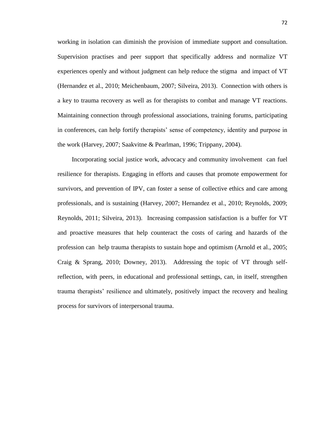working in isolation can diminish the provision of immediate support and consultation. Supervision practises and peer support that specifically address and normalize VT experiences openly and without judgment can help reduce the stigma and impact of VT (Hernandez et al., 2010; Meichenbaum, 2007; Silveira, 2013). Connection with others is a key to trauma recovery as well as for therapists to combat and manage VT reactions. Maintaining connection through professional associations, training forums, participating in conferences, can help fortify therapists' sense of competency, identity and purpose in the work (Harvey, 2007; Saakvitne & Pearlman, 1996; Trippany, 2004).

Incorporating social justice work, advocacy and community involvement can fuel resilience for therapists. Engaging in efforts and causes that promote empowerment for survivors, and prevention of IPV, can foster a sense of collective ethics and care among professionals, and is sustaining (Harvey, 2007; Hernandez et al., 2010; Reynolds, 2009; Reynolds, 2011; Silveira, 2013). Increasing compassion satisfaction is a buffer for VT and proactive measures that help counteract the costs of caring and hazards of the profession can help trauma therapists to sustain hope and optimism (Arnold et al., 2005; Craig & Sprang, 2010; Downey, 2013). Addressing the topic of VT through selfreflection, with peers, in educational and professional settings, can, in itself, strengthen trauma therapists' resilience and ultimately, positively impact the recovery and healing process for survivors of interpersonal trauma.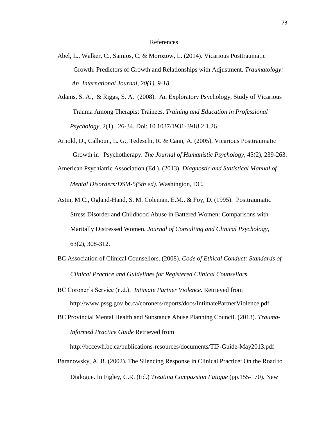## References

- Abel, L., Walker, C., Samios, C. & Morozow, L. (2014). Vicarious Posttraumatic Growth: Predictors of Growth and Relationships with Adjustment. *Traumatology: An International Journal, 20(1), 9-18.*
- Adams, S. A., & Riggs, S. A. (2008). An Exploratory Psychology, Study of Vicarious Trauma Among Therapist Trainees. *Training and Education in Professional Psychology,* 2(1), 26-34. Doi: 10.1037/1931-3918.2.1.26.
- Arnold, D., Calhoun, L. G., Tedeschi, R. & Cann, A. (2005). Vicarious Posttraumatic Growth in Psychotherapy. *The Journal of Humanistic Psychology,* 45(2), 239-263.
- American Psychiatric Association (Ed.). (2013). *Diagnostic and Statistical Manual of Mental Disorders:DSM-5(5th ed).* Washington, DC.
- Astin, M.C., Ogland-Hand, S. M. Coleman, E.M., & Foy, D. (1995). Posttraumatic Stress Disorder and Childhood Abuse in Battered Women: Comparisons with Maritally Distressed Women. *Journal of Consulting and Clinical Psychology,* 63(2), 308-312.
- BC Association of Clinical Counsellors. (2008). *Code of Ethical Conduct: Standards of Clinical Practice and Guidelines for Registered Clinical Counsellors.*
- BC Coroner's Service (n.d.). *Intimate Partner Violence.* Retrieved from http://www.pssg.gov.bc.ca/coroners/reports/docs/IntimatePartnerViolence.pdf
- BC Provincial Mental Health and Substance Abuse Planning Council. (2013). *Trauma- Informed Practice Guide* Retrieved from

http://bccewh.bc.ca/publications-resources/documents/TIP-Guide-May2013.pdf

Baranowsky, A. B. (2002). The Silencing Response in Clinical Practice: On the Road to Dialogue. In Figley, C.R. (Ed.) *Treating Compassion Fatigue* (pp.155-170). New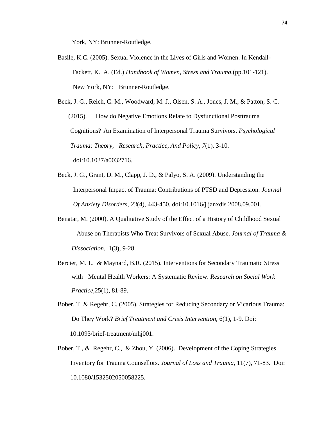York, NY: Brunner-Routledge.

- Basile, K.C. (2005). Sexual Violence in the Lives of Girls and Women. In Kendall-Tackett, K. A. (Ed.) *Handbook of Women, Stress and Trauma.*(pp.101-121). New York, NY: Brunner-Routledge.
- Beck, J. G., Reich, C. M., Woodward, M. J., Olsen, S. A., Jones, J. M., & Patton, S. C. (2015). How do Negative Emotions Relate to Dysfunctional Posttrauma Cognitions? An Examination of Interpersonal Trauma Survivors. *Psychological Trauma: Theory, Research, Practice, And Policy*, *7*(1), 3-10. doi:10.1037/a0032716.
- Beck, J. G., Grant, D. M., Clapp, J. D., & Palyo, S. A. (2009). Understanding the Interpersonal Impact of Trauma: Contributions of PTSD and Depression. *Journal Of Anxiety Disorders*, *23*(4), 443-450. doi:10.1016/j.janxdis.2008.09.001.
- Benatar, M. (2000). A Qualitative Study of the Effect of a History of Childhood Sexual Abuse on Therapists Who Treat Survivors of Sexual Abuse. *Journal of Trauma & Dissociation,* 1(3), 9-28.
- Bercier, M. L. & Maynard, B.R. (2015). Interventions for Secondary Traumatic Stress with Mental Health Workers: A Systematic Review. *Research on Social Work Practice,*25(1), 81-89.
- Bober, T. & Regehr, C. (2005). Strategies for Reducing Secondary or Vicarious Trauma: Do They Work? *Brief Treatment and Crisis Intervention,* 6(1), 1-9. Doi: 10.1093/brief-treatment/mhj001.
- Bober, T., & Regehr, C., & Zhou, Y. (2006). Development of the Coping Strategies Inventory for Trauma Counsellors. *Journal of Loss and Trauma,* 11(7), 71-83. Doi: 10.1080/1532502050058225.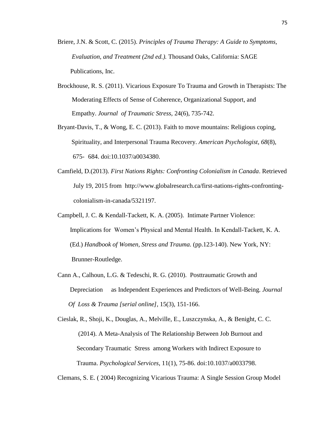- Briere, J.N. & Scott, C. (2015). *Principles of Trauma Therapy: A Guide to Symptoms, Evaluation, and Treatment (2nd ed.).* Thousand Oaks, California: SAGE Publications, Inc.
- Brockhouse, R. S. (2011). Vicarious Exposure To Trauma and Growth in Therapists: The Moderating Effects of Sense of Coherence, Organizational Support, and Empathy. *Journal of Traumatic Stress,* 24(6), 735-742.
- Bryant-Davis, T., & Wong, E. C. (2013). Faith to move mountains: Religious coping, Spirituality, and Interpersonal Trauma Recovery. *American Psychologist*, *68*(8), 675- 684. doi:10.1037/a0034380.
- Camfield, D.(2013). *First Nations Rights: Confronting Colonialism in Canada*. Retrieved July 19, 2015 from http://www.globalresearch.ca/first-nations-rights-confronting colonialism-in-canada/5321197.
- Campbell, J. C. & Kendall-Tackett, K. A. (2005). Intimate Partner Violence: Implications for Women's Physical and Mental Health. In Kendall-Tackett, K. A. (Ed.) *Handbook of Women, Stress and Trauma.* (pp.123-140). New York, NY: Brunner-Routledge.
- Cann A., Calhoun, L.G. & Tedeschi, R. G. (2010). Posttraumatic Growth and Depreciation as Independent Experiences and Predictors of Well-Being. *Journal Of Loss & Trauma [serial online],* 15(3), 151-166.

Cieslak, R., Shoji, K., Douglas, A., Melville, E., Luszczynska, A., & Benight, C. C. (2014). A Meta-Analysis of The Relationship Between Job Burnout and Secondary Traumatic Stress among Workers with Indirect Exposure to Trauma. *Psychological Services*, 11(1), 75-86. doi:10.1037/a0033798.

Clemans, S. E. ( 2004) Recognizing Vicarious Trauma: A Single Session Group Model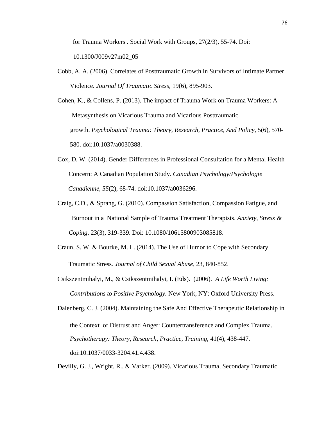for Trauma Workers . Social Work with Groups, 27(2/3), 55-74. Doi:

10.1300/J009v27m02\_05

- Cobb, A. A. (2006). Correlates of Posttraumatic Growth in Survivors of Intimate Partner Violence. *Journal Of Traumatic Stress,* 19(6), 895-903.
- Cohen, K., & Collens, P. (2013). The impact of Trauma Work on Trauma Workers: A Metasynthesis on Vicarious Trauma and Vicarious Posttraumatic growth. *Psychological Trauma: Theory, Research, Practice, And Policy,* 5(6), 570- 580. doi:10.1037/a0030388.
- Cox, D. W. (2014). Gender Differences in Professional Consultation for a Mental Health Concern: A Canadian Population Study. *Canadian Psychology/Psychologie Canadienne*, *55*(2), 68-74. doi:10.1037/a0036296.
- Craig, C.D., & Sprang, G. (2010). Compassion Satisfaction, Compassion Fatigue, and Burnout in a National Sample of Trauma Treatment Therapists. *Anxiety, Stress & Coping,* 23(3), 319-339. Doi: 10.1080/10615800903085818.
- Craun, S. W. & Bourke, M. L. (2014). The Use of Humor to Cope with Secondary Traumatic Stress. *Journal of Child Sexual Abuse,* 23, 840-852.
- Csikszentmihalyi, M., & Csikszentmihalyi, I. (Eds). (2006). *A Life Worth Living: Contributions to Positive Psychology.* New York, NY: Oxford University Press.

Dalenberg, C. J. (2004). Maintaining the Safe And Effective Therapeutic Relationship in the Context of Distrust and Anger: Countertransference and Complex Trauma. *Psychotherapy: Theory, Research, Practice, Training,* 41(4), 438-447. doi:10.1037/0033-3204.41.4.438.

Devilly, G. J., Wright, R., & Varker. (2009). Vicarious Trauma, Secondary Traumatic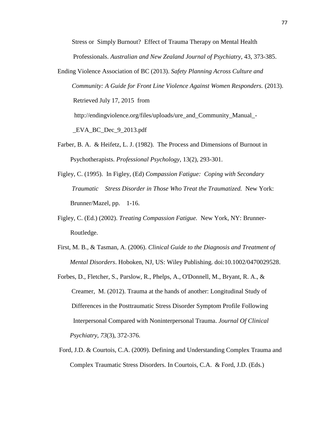Stress or Simply Burnout? Effect of Trauma Therapy on Mental Health Professionals. *Australian and New Zealand Journal of Psychiatry,* 43, 373-385.

Ending Violence Association of BC (2013). *Safety Planning Across Culture and Community: A Guide for Front Line Violence Against Women Responders.* (2013). Retrieved July 17, 2015 from http://endingviolence.org/files/uploads/ure\_and\_Community\_Manual\_-

\_EVA\_BC\_Dec\_9\_2013.pdf

- Farber, B. A. & Heifetz, L. J. (1982). The Process and Dimensions of Burnout in Psychotherapists. *Professional Psychology*, 13(2), 293-301.
- Figley, C. (1995). In Figley, (Ed) *Compassion Fatigue: Coping with Secondary Traumatic Stress Disorder in Those Who Treat the Traumatized.* New York: Brunner/Mazel, pp. 1-16.
- Figley, C. (Ed.) (2002). *Treating Compassion Fatigue.* New York, NY: Brunner- Routledge.
- First, M. B., & Tasman, A. (2006). *Clinical Guide to the Diagnosis and Treatment of Mental Disorders*. Hoboken, NJ, US: Wiley Publishing. doi:10.1002/0470029528.
- Forbes, D., Fletcher, S., Parslow, R., Phelps, A., O'Donnell, M., Bryant, R. A., & Creamer, M. (2012). Trauma at the hands of another: Longitudinal Study of Differences in the Posttraumatic Stress Disorder Symptom Profile Following Interpersonal Compared with Noninterpersonal Trauma. *Journal Of Clinical Psychiatry*, *73*(3), 372-376.
- Ford, J.D. & Courtois, C.A. (2009). Defining and Understanding Complex Trauma and Complex Traumatic Stress Disorders. In Courtois, C.A. & Ford, J.D. (Eds.)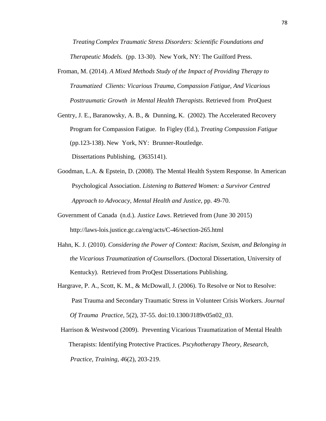*Treating Complex Traumatic Stress Disorders: Scientific Foundations and Therapeutic Models.* (pp. 13-30). New York, NY: The Guilford Press.

Froman, M. (2014). *A Mixed Methods Study of the Impact of Providing Therapy to Traumatized Clients: Vicarious Trauma, Compassion Fatigue, And Vicarious Posttraumatic Growth in Mental Health Therapists.* Retrieved from ProQuest

Gentry, J. E., Baranowsky, A. B., & Dunning, K. (2002). The Accelerated Recovery Program for Compassion Fatigue. In Figley (Ed.), *Treating Compassion Fatigue* (pp.123-138). New York, NY: Brunner-Routledge. Dissertations Publishing, (3635141).

- Goodman, L.A. & Epstein, D. (2008). The Mental Health System Response. In American Psychological Association. *Listening to Battered Women: a Survivor Centred Approach to Advocacy, Mental Health and Justice,* pp. 49-70.
- Government of Canada (n.d.). *Justice Laws*. Retrieved from (June 30 2015) http://laws-lois.justice.gc.ca/eng/acts/C-46/section-265.html
- Hahn, K. J. (2010). *Considering the Power of Context: Racism, Sexism, and Belonging in the Vicarious Traumatization of Counsellors.* (Doctoral Dissertation, University of Kentucky). Retrieved from ProQest Dissertations Publishing.
- Hargrave, P. A., Scott, K. M., & McDowall, J. (2006). To Resolve or Not to Resolve: Past Trauma and Secondary Traumatic Stress in Volunteer Crisis Workers*. Journal Of Trauma Practice,* 5(2), 37-55. doi:10.1300/J189v05n02\_03.
- Harrison & Westwood (2009). Preventing Vicarious Traumatization of Mental Health Therapists: Identifying Protective Practices. *Pscyhotherapy Theory, Research, Practice, Training, 4*6(2), 203-219.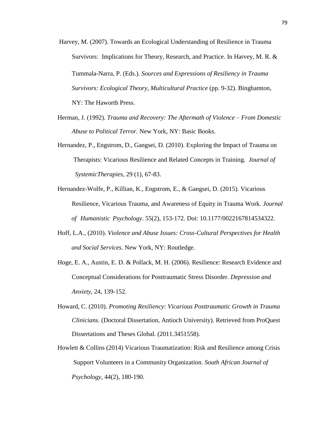- Harvey, M. (2007). Towards an Ecological Understanding of Resilience in Trauma Survivors: Implications for Theory, Research, and Practice. In Harvey, M. R. & Tummala-Narra, P. (Eds.)*. Sources and Expressions of Resiliency in Trauma Survivors: Ecological Theory, Multicultural Practice* (pp. 9-32). Binghamton, NY: The Haworth Press.
- Herman, J. (1992). *Trauma and Recovery: The Aftermath of Violence – From Domestic Abuse to Political Terror.* New York, NY: Basic Books.
- Hernandez, P., Engstrom, D., Gangsei, D. (2010). Exploring the Impact of Trauma on Therapists: Vicarious Resilience and Related Concepts in Training*. Journal of SystemicTherapies,* 29 (1), 67-83.
- Hernandez-Wolfe, P., Killian, K., Engstrom, E., & Gangsei, D. (2015). Vicarious Resilience, Vicarious Trauma, and Awareness of Equity in Trauma Work*. Journal of Humanistic Psychology*. 55(2), 153-172. Doi: 10.1177/0022167814534322.
- Hoff, L.A., (2010). *Violence and Abuse Issues: Cross-Cultural Perspectives for Health and Social Services.* New York, NY: Routledge.
- Hoge, E. A., Austin, E. D. & Pollack, M. H. (2006). Resilience: Research Evidence and Conceptual Considerations for Posttraumatic Stress Disorder. *Depression and Anxiety*, 24, 139-152.
- Howard, C. (2010). *Promoting Resiliency: Vicarious Posttraumatic Growth in Trauma Clinicians.* (Doctoral Dissertation, Antioch University). Retrieved from ProQuest Dissertations and Theses Global. (2011.3451558).
- Howlett & Collins (2014) Vicarious Traumatization: Risk and Resilience among Crisis Support Volunteers in a Community Organization. *South African Journal of Psychology,* 44(2), 180-190.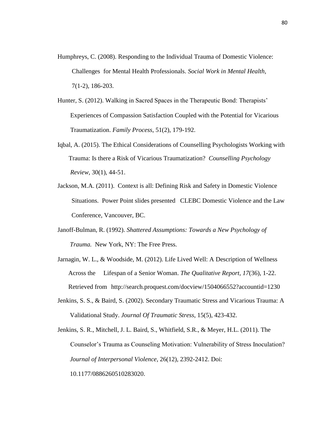- Humphreys, C. (2008). Responding to the Individual Trauma of Domestic Violence: Challenges for Mental Health Professionals. *Social Work in Mental Health,* 7(1-2), 186-203.
- Hunter, S. (2012). Walking in Sacred Spaces in the Therapeutic Bond: Therapists' Experiences of Compassion Satisfaction Coupled with the Potential for Vicarious Traumatization. *Family Process*, 51(2), 179-192.
- Iqbal, A. (2015). The Ethical Considerations of Counselling Psychologists Working with Trauma: Is there a Risk of Vicarious Traumatization? *Counselling Psychology Review,* 30(1), 44-51.
- Jackson, M.A. (2011). Context is all: Defining Risk and Safety in Domestic Violence Situations. Power Point slides presented CLEBC Domestic Violence and the Law Conference, Vancouver, BC.
- Janoff-Bulman, R. (1992). *Shattered Assumptions: Towards a New Psychology of Trauma.* New York, NY: The Free Press.
- Jarnagin, W. L., & Woodside, M. (2012). Life Lived Well: A Description of Wellness Across the Lifespan of a Senior Woman. *The Qualitative Report, 17*(36), 1-22. Retrieved from http://search.proquest.com/docview/1504066552?accountid=1230
- Jenkins, S. S., & Baird, S. (2002). Secondary Traumatic Stress and Vicarious Trauma: A Validational Study. *Journal Of Traumatic Stress,* 15(5), 423-432.
- Jenkins, S. R., Mitchell, J. L. Baird, S., Whitfield, S.R., & Meyer, H.L. (2011). The Counselor's Trauma as Counseling Motivation: Vulnerability of Stress Inoculation? *Journal of Interpersonal Violence*, 26(12), 2392-2412. Doi: 10.1177/0886260510283020.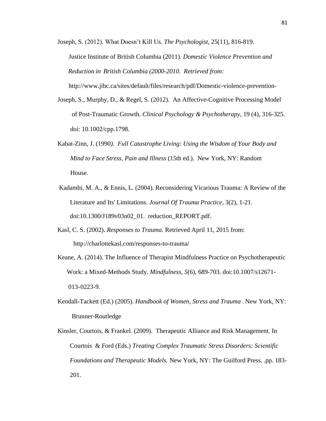Joseph, S. (2012). What Doesn't Kill Us. *The Psychologist,* 25(11), 816-819. Justice Institute of British Columbia (2011). *Domestic Violence Prevention and Reduction in British Columbia (2000-2010. Retrieved from:* 

http://www.jibc.ca/sites/default/files/research/pdf/Domestic-violence-prevention-

- Joseph, S., Murphy, D., & Regel, S. (2012). An Affective-Cognitive Processing Model of Post-Traumatic Growth. *Clinical Psychology & Psychotherapy*, 19 (4), 316-325. doi: 10.1002/cpp.1798.
- Kabat-Zinn, J. (1990*). Full Catastrophe Living: Using the Wisdom of Your Body and Mind to Face Stress, Pain and Illness* (15th ed.). New York, NY: Random House.
- Kadambi, M. A., & Ennis, L. (2004). Reconsidering Vicarious Trauma: A Review of the Literature and Its' Limitations. *Journal Of Trauma Practice*, 3(2), 1-21. doi:10.1300/J189v03n02\_01. reduction\_REPORT.pdf.
- Kasl, C. S. (2002). *Responses to Trauma.* Retrieved April 11, 2015 from: http://charlottekasl.com/responses-to-trauma/
- Keane, A. (2014). The Influence of Therapist Mindfulness Practice on Psychotherapeutic Work: a Mixed-Methods Study. *Mindfulness*, *5*(6), 689-703. doi:10.1007/s12671- 013-0223-9.
- Kendall-Tackett (Ed.) (2005). *Handbook of Women, Stress and Trauma* . New York, NY: Brunner-Routledge
- Kinsler, Courtois, & Frankel. (2009). Therapeutic Alliance and Risk Management. In Courtois & Ford (Eds.) *Treating Complex Traumatic Stress Disorders: Scientific Foundations and Therapeutic Models.* New York, NY: The Guilford Press. .pp. 183- 201.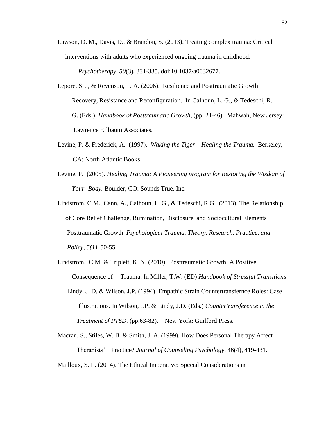- Lawson, D. M., Davis, D., & Brandon, S. (2013). Treating complex trauma: Critical interventions with adults who experienced ongoing trauma in childhood. *Psychotherapy*, *50*(3), 331-335. doi:10.1037/a0032677.
- Lepore, S. J, & Revenson, T. A. (2006). Resilience and Posttraumatic Growth: Recovery, Resistance and Reconfiguration. In Calhoun, L. G., & Tedeschi, R. G. (Eds.), *Handbook of Posttraumatic Growth,* (pp. 24-46). Mahwah, New Jersey: Lawrence Erlbaum Associates.
- Levine, P. & Frederick, A. (1997). *Waking the Tiger – Healing the Trauma.* Berkeley, CA: North Atlantic Books.
- Levine, P. (2005). *Healing Trauma: A Pioneering program for Restoring the Wisdom of Your Body.* Boulder, CO: Sounds True, Inc.
- Lindstrom, C.M., Cann, A., Calhoun, L. G., & Tedeschi, R.G. (2013). The Relationship of Core Belief Challenge, Rumination, Disclosure, and Sociocultural Elements Posttraumatic Growth. *Psychological Trauma, Theory, Research, Practice, and Policy, 5(1),* 50-55.
- Lindstrom, C.M. & Triplett, K. N. (2010). Posttraumatic Growth: A Positive Consequence of Trauma. In Miller, T.W. (ED) *Handbook of Stressful Transitions*  Lindy, J. D. & Wilson, J.P. (1994). Empathic Strain Countertransfernce Roles: Case Illustrations. In Wilson, J.P. & Lindy, J.D. (Eds.) *Countertransference in the Treatment of PTSD*. (pp.63-82). New York: Guilford Press.
- Macran, S., Stiles, W. B. & Smith, J. A. (1999). How Does Personal Therapy Affect Therapists' Practice? *Journal of Counseling Psychology*, 46(4), 419-431.

Mailloux, S. L. (2014). The Ethical Imperative: Special Considerations in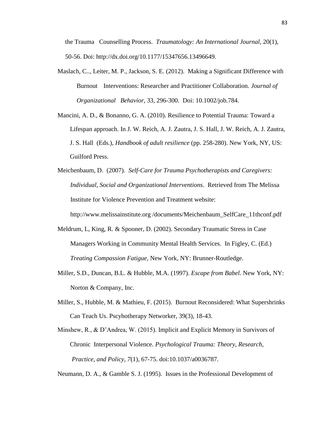the Trauma Counselling Process. *Traumatology: An International Journal,* 20(1), 50-56. Doi: http://dx.doi.org/10.1177/15347656.13496649.

- Maslach, C.., Leiter, M. P., Jackson, S. E. (2012). Making a Significant Difference with Burnout Interventions: Researcher and Practitioner Collaboration*. Journal of Organizational Behavior,* 33, 296-300. Doi: 10.1002/job.784.
- Mancini, A. D., & Bonanno, G. A. (2010). Resilience to Potential Trauma: Toward a Lifespan approach. In J. W. Reich, A. J. Zautra, J. S. Hall, J. W. Reich, A. J. Zautra, J. S. Hall (Eds.), *Handbook of adult resilience* (pp. 258-280). New York, NY, US: Guilford Press.
- Meichenbaum, D. (2007). *Self-Care for Trauma Psychotherapists and Caregivers: Individual, Social and Organizational Interventions*. Retrieved from The Melissa Institute for Violence Prevention and Treatment website:

http://www.melissainstitute.org [/documents/Meichenbaum\\_SelfCare\\_11thconf.pdf](http://www.melissainstitute.org/documents/Meichenbaum_SelfCare_11thconf.pdf)

- Meldrum, L, King, R. & Spooner, D. (2002). Secondary Traumatic Stress in Case Managers Working in Community Mental Health Services. In Figley, C. (Ed.) *Treating Compassion Fatigue,* New York, NY: Brunner-Routledge.
- Miller, S.D., Duncan, B.L. & Hubble, M.A. (1997). *Escape from Babel.* New York, NY: Norton & Company, Inc.
- Miller, S., Hubble, M. & Mathieu, F. (2015). Burnout Reconsidered: What Supershrinks Can Teach Us. Pscyhotherapy Networker, 39(3), 18-43.
- Minshew, R., & D'Andrea, W. (2015). Implicit and Explicit Memory in Survivors of Chronic Interpersonal Violence. *Psychological Trauma: Theory, Research, Practice, and Policy*, *7*(1), 67-75. doi:10.1037/a0036787.

Neumann, D. A., & Gamble S. J. (1995). Issues in the Professional Development of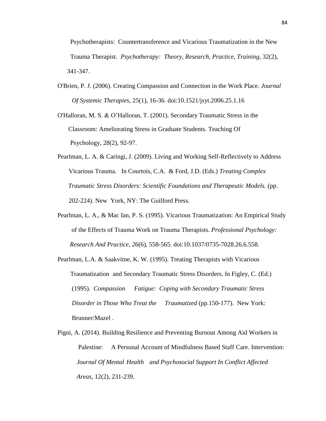Psychotherapists: Countertransference and Vicarious Traumatization in the New Trauma Therapist. *Psychotherapy: Theory, Research, Practice, Training,* 32(2), 341-347.

O'Brien, P. J. (2006). Creating Compassion and Connection in the Work Place. *Journal Of Systemic Therapies,* 25(1), 16-36. doi:10.1521/jsyt.2006.25.1.16

O'Halloran, M. S. & O'Halloran, T. (2001). Secondary Traumatic Stress in the Classroom: Ameliorating Stress in Graduate Students. Teaching Of Psychology, 28(2), 92-97.

- Pearlman, L. A. & Caringi, J. (2009). Living and Working Self-Reflectively to Address Vicarious Trauma. In Courtois, C.A. & Ford, J.D. (Eds.) *Treating Complex Traumatic Stress Disorders: Scientific Foundations and Therapeutic Models.* (pp. 202-224). New York, NY: The Guilford Press.
- Pearlman, L. A., & Mac Ian, P. S. (1995). Vicarious Traumatization: An Empirical Study of the Effects of Trauma Work on Trauma Therapists. *Professional Psychology: Research And Practice*, *26*(6), 558-565. doi:10.1037/0735-7028.26.6.558.
- Pearlman, L.A. & Saakvitne, K. W. (1995). Treating Therapists with Vicarious Traumatization and Secondary Traumatic Stress Disorders. In Figley, C. (Ed.) (1995). *Compassion Fatigue: Coping with Secondary Traumatic Stress Disorder in Those Who Treat the Traumatized* (pp.150-177). New York: Brunner/Mazel .
- Pigni, A. (2014). Building Resilience and Preventing Burnout Among Aid Workers in Palestine: A Personal Account of Mindfulness Based Staff Care. Intervention: *Journal Of Mental Health and Psychosocial Support In Conflict Affected Areas,* 12(2), 231-239.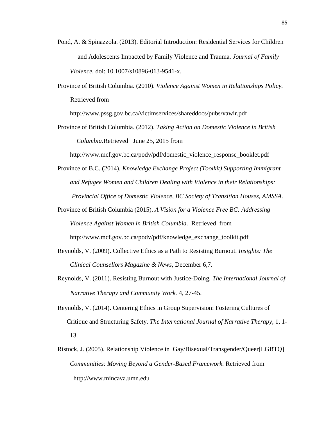- Pond, A. & Spinazzola. (2013). Editorial Introduction: Residential Services for Children and Adolescents Impacted by Family Violence and Trauma. *Journal of Family Violence.* doi: 10.1007/s10896-013-9541-x.
- Province of British Columbia. (2010). *Violence Against Women in Relationships Policy.* Retrieved from

http://www.pssg.gov.bc.ca/victimservices/shareddocs/pubs/vawir.pdf

Province of British Columbia. (2012). *Taking Action on Domestic Violence in British Columbia*.Retrieved June 25, 2015 from

http://www.mcf.gov.bc.ca/podv/pdf/domestic\_violence\_response\_booklet.pdf

- Province of B.C. **(**2014). *Knowledge Exchange Project (Toolkit) Supporting Immigrant and Refugee Women and Children Dealing with Violence in their Relationships: Provincial Office of Domestic Violence, BC Society of Transition Houses, AMSSA.*
- Province of British Columbia (2015). *A Vision for a Violence Free BC: Addressing Violence Against Women in British Columbia.* Retrieved from http://www.mcf.gov.bc.ca/podv/pdf/knowledge\_exchange\_toolkit.pdf
- Reynolds, V. (2009). Collective Ethics as a Path to Resisting Burnout. *Insights: The Clinical Counsellors Magazine & News,* December 6,7.
- Reynolds, V. (2011). Resisting Burnout with Justice-Doing*. The International Journal of Narrative Therapy and Community Work.* 4, 27-45.
- Reynolds, V. (2014). Centering Ethics in Group Supervision: Fostering Cultures of Critique and Structuring Safety. *The International Journal of Narrative Therapy,* 1, 1- 13.
- Ristock, J. (2005). Relationship Violence in Gay/Bisexual/Transgender/Queer[LGBTQ]  *Communities: Moving Beyond a Gender-Based Framework.* Retrieved from http://www.mincava.umn.edu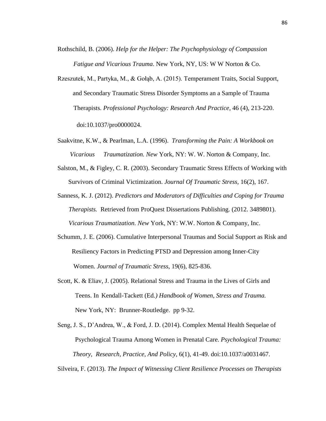- Rothschild, B. (2006). *Help for the Helper: The Psychophysiology of Compassion Fatigue and Vicarious Trauma*. New York, NY, US: W W Norton & Co.
- Rzeszutek, M., Partyka, M., & Gołąb, A. (2015). Temperament Traits, Social Support, and Secondary Traumatic Stress Disorder Symptoms an a Sample of Trauma Therapists. *Professional Psychology: Research And Practice,* 46 (4), 213-220. doi:10.1037/pro0000024.
- Saakvitne, K.W., & Pearlman, L.A. (1996). *Transforming the Pain: A Workbook on Vicarious Traumatization. New* York, NY: W. W. Norton & Company, Inc.
- Salston, M., & Figley, C. R. (2003). Secondary Traumatic Stress Effects of Working with Survivors of Criminal Victimization. *Journal Of Traumatic Stress*, 16(2), 167.
- Sanness, K. J. (2012). *Predictors and Moderators of Difficulties and Coping for Trauma Therapists.* Retrieved from ProQuest Dissertations Publishing. (2012. 3489801).  *Vicarious Traumatization. New* York, NY: W.W. Norton & Company, Inc.
- Schumm, J. E. (2006). Cumulative Interpersonal Traumas and Social Support as Risk and Resiliency Factors in Predicting PTSD and Depression among Inner-City Women. *Journal of Traumatic Stress*, 19(6), 825-836.
- Scott, K. & Eliav, J. (2005). Relational Stress and Trauma in the Lives of Girls and Teens. In Kendall-Tackett (Ed*.) Handbook of Women, Stress and Trauma.* New York, NY: Brunner-Routledge. pp 9-32.
- Seng, J. S., D'Andrea, W., & Ford, J. D. (2014). Complex Mental Health Sequelae of Psychological Trauma Among Women in Prenatal Care. *Psychological Trauma: Theory, Research, Practice, And Policy*, 6(1), 41-49. doi:10.1037/a0031467.

Silveira, F. (2013). *The Impact of Witnessing Client Resilience Processes on Therapists*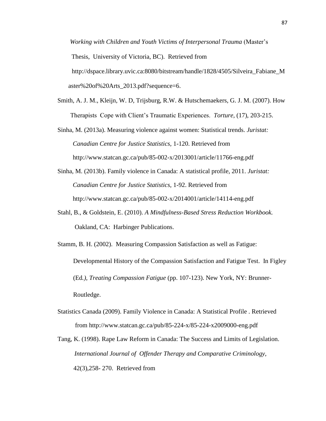*Working with Children and Youth Victims of Interpersonal Trauma* (Master's Thesis, University of Victoria, BC). Retrieved from [http://dspace.library.uvic.ca:8080/bitstream/handle/1828/4505/Silveira\\_Fabiane\\_M](http://dspace.library.uvic.ca:8080/bitstream/handle/1828/4505/Silveira_Fabiane_Master%20of%20Arts_2013.pdf?sequence=6)  [aster%20of%20Arts\\_2013.pdf?sequence=6.](http://dspace.library.uvic.ca:8080/bitstream/handle/1828/4505/Silveira_Fabiane_Master%20of%20Arts_2013.pdf?sequence=6)

- Smith, A. J. M., Kleijn, W. D, Trijsburg, R.W. & Hutschemaekers, G. J. M. (2007). How Therapists Cope with Client's Traumatic Experiences. *Torture,* (17), 203-215.
- Sinha, M. (2013a). Measuring violence against women: Statistical trends. *Juristat: Canadian Centre for Justice Statistics,* 1-120. Retrieved from http://www.statcan.gc.ca/pub/85-002-x/2013001/article/11766-eng.pdf
- Sinha, M. (2013b). Family violence in Canada: A statistical profile, 2011. *Juristat: Canadian Centre for Justice Statistics,* 1-92. Retrieved from http://www.statcan.gc.ca/pub/85-002-x/2014001/article/14114-eng.pdf
- Stahl, B., & Goldstein, E. (2010). *A Mindfulness-Based Stress Reduction Workbook.*  Oakland, CA: Harbinger Publications.
- Stamm, B. H. (2002). Measuring Compassion Satisfaction as well as Fatigue: Developmental History of the Compassion Satisfaction and Fatigue Test. In Figley (Ed*.), Treating Compassion Fatigue* (pp. 107-123). New York, NY: Brunner- Routledge.
- Statistics Canada (2009). Family Violence in Canada: A Statistical Profile . Retrieved from http://www.statcan.gc.ca/pub/85-224-x/85-224-x2009000-eng.pdf
- Tang, K. (1998). Rape Law Reform in Canada: The Success and Limits of Legislation. *International Journal of Offender Therapy and Comparative Criminology,*  42(3),258- 270. Retrieved from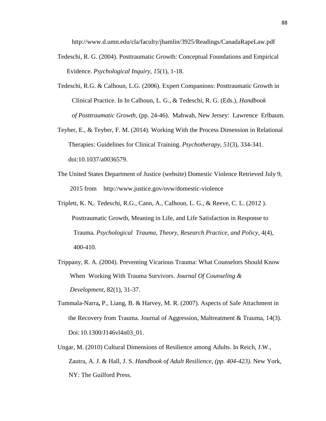http://www.d.umn.edu/cla/faculty/jhamlin/3925/Readings/CanadaRapeLaw.pdf

- Tedeschi, R. G. (2004). Posttraumatic Growth: Conceptual Foundations and Empirical Evidence. *Psychological Inquiry*, *15*(1), 1-18.
- Tedeschi, R.G. & Calhoun, L.G. (2006). Expert Companions: Posttraumatic Growth in Clinical Practice. In In Calhoun, L. G., & Tedeschi, R. G. (Eds.), *Handbook of Posttraumatic Growth,* (pp. 24-46). Mahwah, New Jersey: Lawrence Erlbaum.
- Teyber, E., & Teyber, F. M. (2014). Working With the Process Dimension in Relational Therapies: Guidelines for Clinical Training. *Psychotherapy*, *51*(3), 334-341. doi:10.1037/a0036579.
- The United States Department of Justice (website) Domestic Violence Retrieved July 9, 2015 from http://www.justice.gov/ovw/domestic-violence
- Triplett, K. N,. Tedeschi, R.G., Cann, A., Calhoun, L. G., & Reeve, C. L. (2012 ). Posttraumatic Growth, Meaning in Life, and Life Satisfaction in Response to Trauma*. Psychological Trauma, Theory, Research Practice, and Policy*, 4(4), 400-410.
- Trippany, R. A. (2004). Preventing Vicarious Trauma: What Counselors Should Know When Working With Trauma Survivors. *Journal Of Counseling & Development,* 82(1), 31-37.
- Tummala-Narra**,** P., Liang, B. & Harvey, M. R. (2007). Aspects of Safe Attachment in the Recovery from Trauma. Journal of Aggression, Maltreatment & Trauma, 14(3). Doi:10.1300/J146vl4n03\_01.
- Ungar, M. (2010) Cultural Dimensions of Resilience among Adults. In Reich, J.W., Zautra, A. J. & Hall, J. S. *Handbook of Adult Resilience, (pp. 404-423).* New York, NY: The Guilford Press.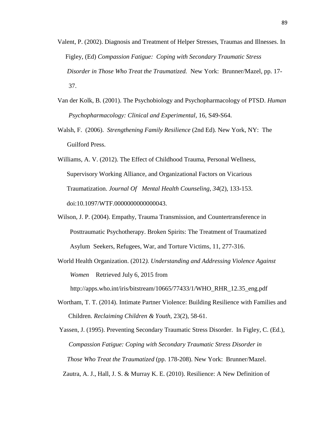- Valent, P. (2002). Diagnosis and Treatment of Helper Stresses, Traumas and Illnesses. In Figley, (Ed) *Compassion Fatigue: Coping with Secondary Traumatic Stress Disorder in Those Who Treat the Traumatized.* New York: Brunner/Mazel, pp. 17- 37.
- Van der Kolk, B. (2001). The Psychobiology and Psychopharmacology of PTSD. *Human Psychopharmacology: Clinical and Experimental,* 16, S49-S64.
- Walsh, F. (2006). *Strengthening Family Resilience* (2nd Ed)*.* New York, NY: The Guilford Press.
- Williams, A. V. (2012). The Effect of Childhood Trauma, Personal Wellness, Supervisory Working Alliance, and Organizational Factors on Vicarious Traumatization. *Journal Of Mental Health Counseling*, *34*(2), 133-153. doi:10.1097/WTF.0000000000000043.
- Wilson, J. P. (2004). Empathy, Trauma Transmission, and Countertransference in Posttraumatic Psychotherapy. Broken Spirits: The Treatment of Traumatized Asylum Seekers, Refugees, War, and Torture Victims, 11, 277-316.
- World Health Organization. (2012*). Understanding and Addressing Violence Against Women* Retrieved July 6, 2015 from http://apps.who.int/iris/bitstream/10665/77433/1/WHO\_RHR\_12.35\_eng.pdf
- Wortham, T. T. (2014). Intimate Partner Violence: Building Resilience with Families and Children. *Reclaiming Children & Youth,* 23(2), 58-61.

Yassen, J. (1995). Preventing Secondary Traumatic Stress Disorder. In Figley, C. (Ed.), *Compassion Fatigue: Coping with Secondary Traumatic Stress Disorder in Those Who Treat the Traumatized* (pp. 178-208). New York: Brunner/Mazel.

Zautra, A. J., Hall, J. S. & Murray K. E. (2010). Resilience: A New Definition of